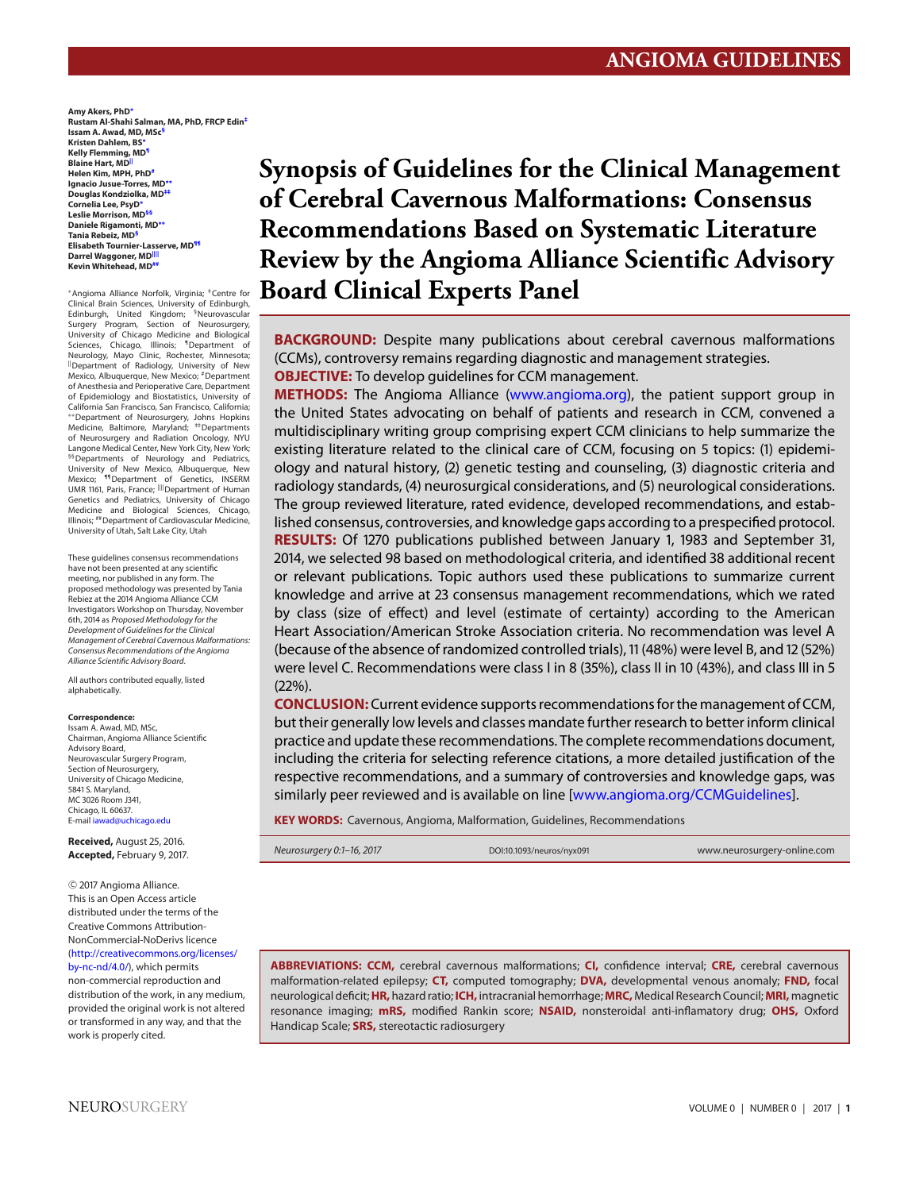**Amy Akers, PhD[∗](#page-0-0) Rustam Al-Shahi Salman, MA, PhD, FRCP Edi[n‡](#page-0-1) Issam A. Awad, MD, MS[c§](#page-0-2) Kristen Dahlem, BS[∗](#page-0-0) Kelly Flemming, M[D¶](#page-0-3) Blaine Hart, M[D||](#page-0-4) Helen Kim, MPH, Ph[D#](#page-0-5) Ignacio Jusue-Torres, MD[∗∗](#page-0-6) Douglas Kondziolka, M[D‡‡](#page-0-7) Cornelia Lee, PsyD[∗](#page-0-0) Leslie Morrison, MD[§§](#page-0-8) Daniele Rigamonti, MD[∗∗](#page-0-6) Tania Rebeiz, M[D§](#page-0-2) Elisabeth Tournier-Lasserve, M[D¶¶](#page-0-9) Darrel Waggoner, M[D||||](#page-0-10) Kevin Whitehead, M[D##](#page-0-11)**

<span id="page-0-6"></span><span id="page-0-4"></span><span id="page-0-0"></span><sup>∗</sup>Angioma Alliance Norfolk, Virginia; ‡Centre for Clinical Brain Sciences, University of Edinburgh,<br>Edinburgh, United Kingdom; <sup>§</sup>Neurovascular Surgery Program, Section of Neurosurgery, University of Chicago Medicine and Biological Sciences, Chicago, Illinois; <sup>1</sup>Department of Neurology, Mayo Clinic, Rochester, Minnesota; ||Department of Radiology, University of New Mexico, Albuquerque, New Mexico; <sup>#</sup>Department<br>of Anesthesia and Perioperative Care, Department of Epidemiology and Biostatistics, University of California San Francisco, San Francisco, California; ∗∗Department of Neurosurgery, Johns Hopkins Medicine, Baltimore, Maryland; <sup>##</sup>Departments of Neurosurgery and Radiation Oncology, NYU Langone Medical Center, New York City, New York; <sup>§§</sup>Departments of Neurology and Pediatrics,<br>University of New Mexico, Albuquerque, New<br>Mexico; <sup>¶8</sup>Department of Genetics, INSERM<br>UMR 1161, Paris, France; <sup>III</sup>Department of Human Genetics and Pediatrics, University of Chicago Medicine and Biological Sciences, Chicago, Illinois; ##Department of Cardiovascular Medicine, University of Utah, Salt Lake City, Utah

<span id="page-0-11"></span><span id="page-0-10"></span><span id="page-0-9"></span><span id="page-0-8"></span>These guidelines consensus recommendations have not been presented at any scientific meeting, nor published in any form. The proposed methodology was presented by Tania Rebiez at the 2014 Angioma Alliance CCM Investigators Workshop on Thursday, November 6th, 2014 as Proposed Methodology for the Development of Guidelines for the Clinical Management of Cerebral Cavernous Malformations: Consensus Recommendations of the Angioma Alliance Scientific Advisory Board.

All authors contributed equally, listed alphabetically.

#### **Correspondence:**

Issam A. Awad, MD, MSc, Chairman, Angioma Alliance Scientific Advisory Board, Neurovascular Surgery Program, Section of Neurosurgery, University of Chicago Medicine, 5841 S. Maryland, MC 3026 Room J341, Chicago, IL 60637. E-mail [iawad@uchicago.edu](mailto:iawad@uchicago.edu)

**Received,** August 25, 2016. **Accepted,** February 9, 2017.

<sup>C</sup> 2017 Angioma Alliance. This is an Open Access article distributed under the terms of the Creative Commons Attribution-NonCommercial-NoDerivs licence [\(http://creativecommons.org/licenses/](http://creativecommons.org/licenses/by-nc-nd/4.0/) [by-nc-nd/4.0/\)](http://creativecommons.org/licenses/by-nc-nd/4.0/), which permits

non-commercial reproduction and distribution of the work, in any medium, provided the original work is not altered or transformed in any way, and that the work is properly cited.

**Synopsis of Guidelines for the Clinical Management of Cerebral Cavernous Malformations: Consensus Recommendations Based on Systematic Literature Review by the Angioma Alliance Scientific Advisory Board Clinical Experts Panel**

<span id="page-0-3"></span><span id="page-0-2"></span><span id="page-0-1"></span>**BACKGROUND:** Despite many publications about cerebral cavernous malformations (CCMs), controversy remains regarding diagnostic and management strategies. **OBJECTIVE:** To develop quidelines for CCM management.

<span id="page-0-7"></span><span id="page-0-5"></span>**METHODS:** The Angioma Alliance [\(www.angioma.org\)](http://www.angioma.org), the patient support group in the United States advocating on behalf of patients and research in CCM, convened a multidisciplinary writing group comprising expert CCM clinicians to help summarize the existing literature related to the clinical care of CCM, focusing on 5 topics: (1) epidemiology and natural history, (2) genetic testing and counseling, (3) diagnostic criteria and radiology standards, (4) neurosurgical considerations, and (5) neurological considerations. The group reviewed literature, rated evidence, developed recommendations, and established consensus, controversies, and knowledge gaps according to a prespecified protocol. **RESULTS:** Of 1270 publications published between January 1, 1983 and September 31, 2014, we selected 98 based on methodological criteria, and identified 38 additional recent or relevant publications. Topic authors used these publications to summarize current knowledge and arrive at 23 consensus management recommendations, which we rated by class (size of effect) and level (estimate of certainty) according to the American Heart Association/American Stroke Association criteria. No recommendation was level A (because of the absence of randomized controlled trials), 11 (48%) were level B, and 12 (52%) were level C. Recommendations were class I in 8 (35%), class II in 10 (43%), and class III in 5 (22%).

**CONCLUSION:** Current evidence supports recommendations for the management of CCM, but their generally low levels and classes mandate further research to better inform clinical practice and update these recommendations. The complete recommendations document, including the criteria for selecting reference citations, a more detailed justification of the respective recommendations, and a summary of controversies and knowledge gaps, was similarly peer reviewed and is available on line [\[www.angioma.org/CCMGuidelines\]](http://www.angioma.org/CCMGuidelines).

**KEY WORDS:** Cavernous, Angioma, Malformation, Guidelines, Recommendations

Neurosurgery 0:1–16, 2017 DOI:10.1093/neuros/nyx091 www.neurosurgery-online.com

**ABBREVIATIONS: CCM,** cerebral cavernous malformations; **CI,** confidence interval; **CRE,** cerebral cavernous malformation-related epilepsy; **CT,** computed tomography; **DVA,** developmental venous anomaly; **FND,** focal neurological deficit;**HR,** hazard ratio; **ICH,** intracranial hemorrhage; **MRC,** Medical Research Council; **MRI,** magnetic resonance imaging; **mRS,** modified Rankin score; **NSAID,** nonsteroidal anti-inflamatory drug; **OHS,** Oxford Handicap Scale; **SRS,** stereotactic radiosurgery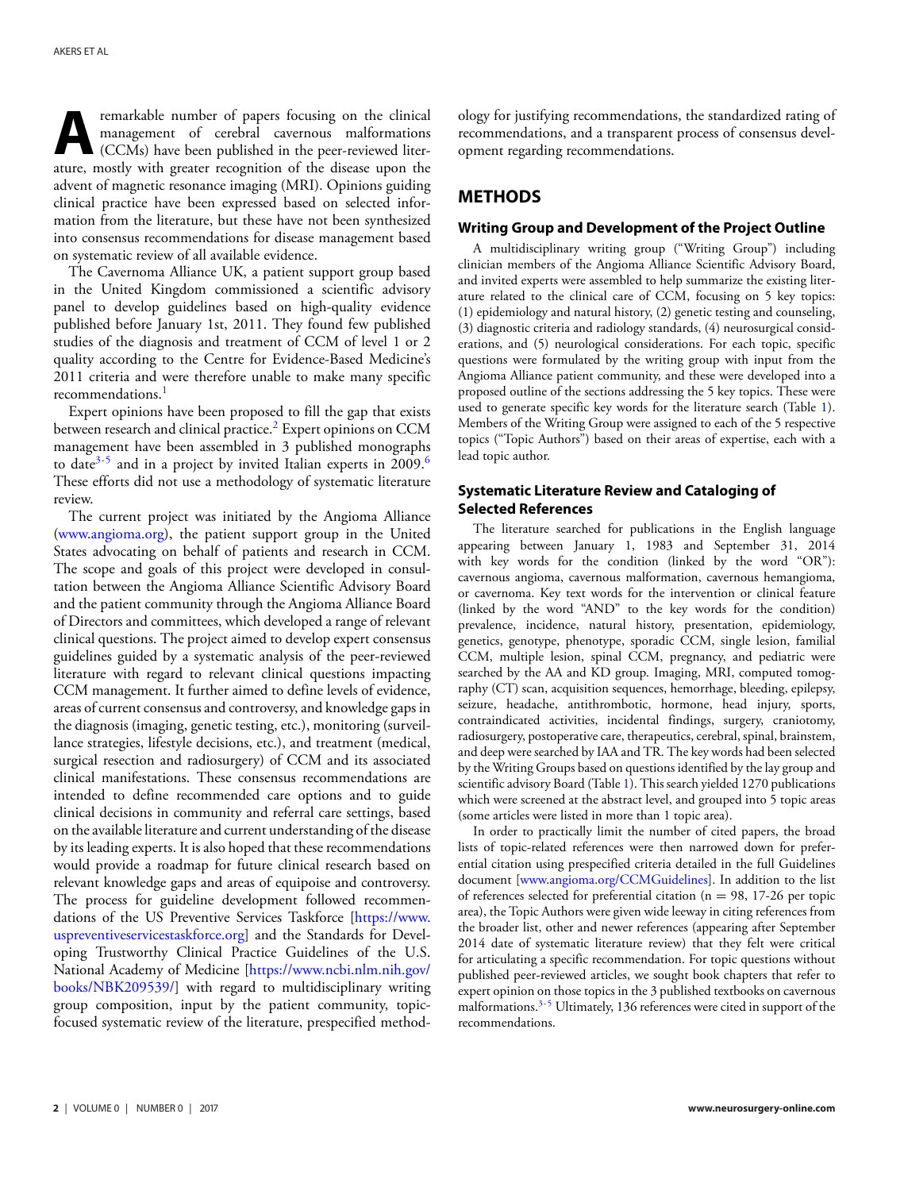**A**remarkable number of papers focusing on the clinical<br>management of cerebral cavernous malformations<br>(CCMs) have been published in the peer-reviewed liter-<br>ature mostly with greater recognition of the disease upon the management of cerebral cavernous malformations (CCMs) have been published in the peer-reviewed literature, mostly with greater recognition of the disease upon the advent of magnetic resonance imaging (MRI). Opinions guiding clinical practice have been expressed based on selected information from the literature, but these have not been synthesized into consensus recommendations for disease management based on systematic review of all available evidence.

The Cavernoma Alliance UK, a patient support group based in the United Kingdom commissioned a scientific advisory panel to develop guidelines based on high-quality evidence published before January 1st, 2011. They found few published studies of the diagnosis and treatment of CCM of level 1 or 2 quality according to the Centre for Evidence-Based Medicine's 2011 criteria and were therefore unable to make many specific recommendations.<sup>1</sup>

Expert opinions have been proposed to fill the gap that exists between research and clinical practice.<sup>2</sup> Expert opinions on CCM management have been assembled in 3 published monographs to date<sup>3-[5](#page-11-3)</sup> and in a project by invited Italian experts in 2009.<sup>6</sup> These efforts did not use a methodology of systematic literature review.

The current project was initiated by the Angioma Alliance [\(www.angioma.org\)](http://www.angioma.org), the patient support group in the United States advocating on behalf of patients and research in CCM. The scope and goals of this project were developed in consultation between the Angioma Alliance Scientific Advisory Board and the patient community through the Angioma Alliance Board of Directors and committees, which developed a range of relevant clinical questions. The project aimed to develop expert consensus guidelines guided by a systematic analysis of the peer-reviewed literature with regard to relevant clinical questions impacting CCM management. It further aimed to define levels of evidence, areas of current consensus and controversy, and knowledge gaps in the diagnosis (imaging, genetic testing, etc.), monitoring (surveillance strategies, lifestyle decisions, etc.), and treatment (medical, surgical resection and radiosurgery) of CCM and its associated clinical manifestations. These consensus recommendations are intended to define recommended care options and to guide clinical decisions in community and referral care settings, based on the available literature and current understanding of the disease by its leading experts. It is also hoped that these recommendations would provide a roadmap for future clinical research based on relevant knowledge gaps and areas of equipoise and controversy. The process for guideline development followed recommendations of the US Preventive Services Taskforce [\[https://www.](https://www.uspreventiveservicestaskforce.org) [uspreventiveservicestaskforce.org\]](https://www.uspreventiveservicestaskforce.org) and the Standards for Developing Trustworthy Clinical Practice Guidelines of the U.S. National Academy of Medicine [\[https://www.ncbi.nlm.nih.gov/](https://www.ncbi.nlm.nih.gov/books/NBK209539/) [books/NBK209539/\]](https://www.ncbi.nlm.nih.gov/books/NBK209539/) with regard to multidisciplinary writing group composition, input by the patient community, topicfocused systematic review of the literature, prespecified methodology for justifying recommendations, the standardized rating of recommendations, and a transparent process of consensus development regarding recommendations.

# **METHODS**

### **Writing Group and Development of the Project Outline**

A multidisciplinary writing group ("Writing Group") including clinician members of the Angioma Alliance Scientific Advisory Board, and invited experts were assembled to help summarize the existing literature related to the clinical care of CCM, focusing on 5 key topics: (1) epidemiology and natural history, (2) genetic testing and counseling, (3) diagnostic criteria and radiology standards, (4) neurosurgical considerations, and (5) neurological considerations. For each topic, specific questions were formulated by the writing group with input from the Angioma Alliance patient community, and these were developed into a proposed outline of the sections addressing the 5 key topics. These were used to generate specific key words for the literature search (Table [1\)](#page-2-0). Members o[f](#page-3-0) the Writing Group were assigned to each of the 5 respective topics ("Topic Authors") based on their areas of expertise, each with a lead topic author.

### **Systematic Literature Review and Cataloging of Selected References**

The literature searched for publications in the English language appearing between January 1, 1983 and September 31, 2014 with key words for the condition (linked by the word "OR"): cavernous angioma, cavernous malformation, cavernous hemangioma, or cavernoma. Key text words for the intervention or clinical feature (linked by the word "AND" to the key words for the condition) prevalence, incidence, natural history, presentation, epidemiology, genetics, genotype, phenotype, sporadic CCM, single lesion, familial CCM, multiple lesion, spinal CCM, pregnancy, and pediatric were searched by the AA and KD group. Imaging, MRI, computed tomography (CT) scan, acquisition sequences, hemorrhage, bleeding, epilepsy, seizure, headache, antithrombotic, hormone, head injury, sports, contraindicated activities, incidental findings, surgery, craniotomy, radiosurgery, postoperative care, therapeutics, cerebral, spinal, brainstem, and deep were searched by IAA and TR. The key words had been selected by the Writing Groups based on questions identified by the lay group and scientific advisory Board (Table [1\)](#page-2-0). This search yielded 1270 publications which were screened at the abstract level, and grouped into 5 topic areas (some articles were listed in more than 1 topic area).

In order to practically limit the number of cited papers, the broad lists of topic-related references were then narrowed down for preferential citation using prespecified criteria detailed in the full Guidelines document [\[www.angioma.org/CCMGuidelines\]](http://www.angioma.org/CCMGuidelines). In addition to the list of references selected for preferential citation ( $n = 98$ , 17-26 per topic area), the Topic Authors were given wide leeway in citing references from the broader list, other and newer references (appearing after September 2014 date of systematic literature review) that they felt were critical for articulating a specific recommendation. For topic questions without published peer-reviewed articles, we sought book chapters that refer to expert opinion on those topics in the 3 published textbooks on cavernous malformations[.3-](#page-11-2)[5](#page-11-3) Ultimately, 136 references were cited in support of the recommendations.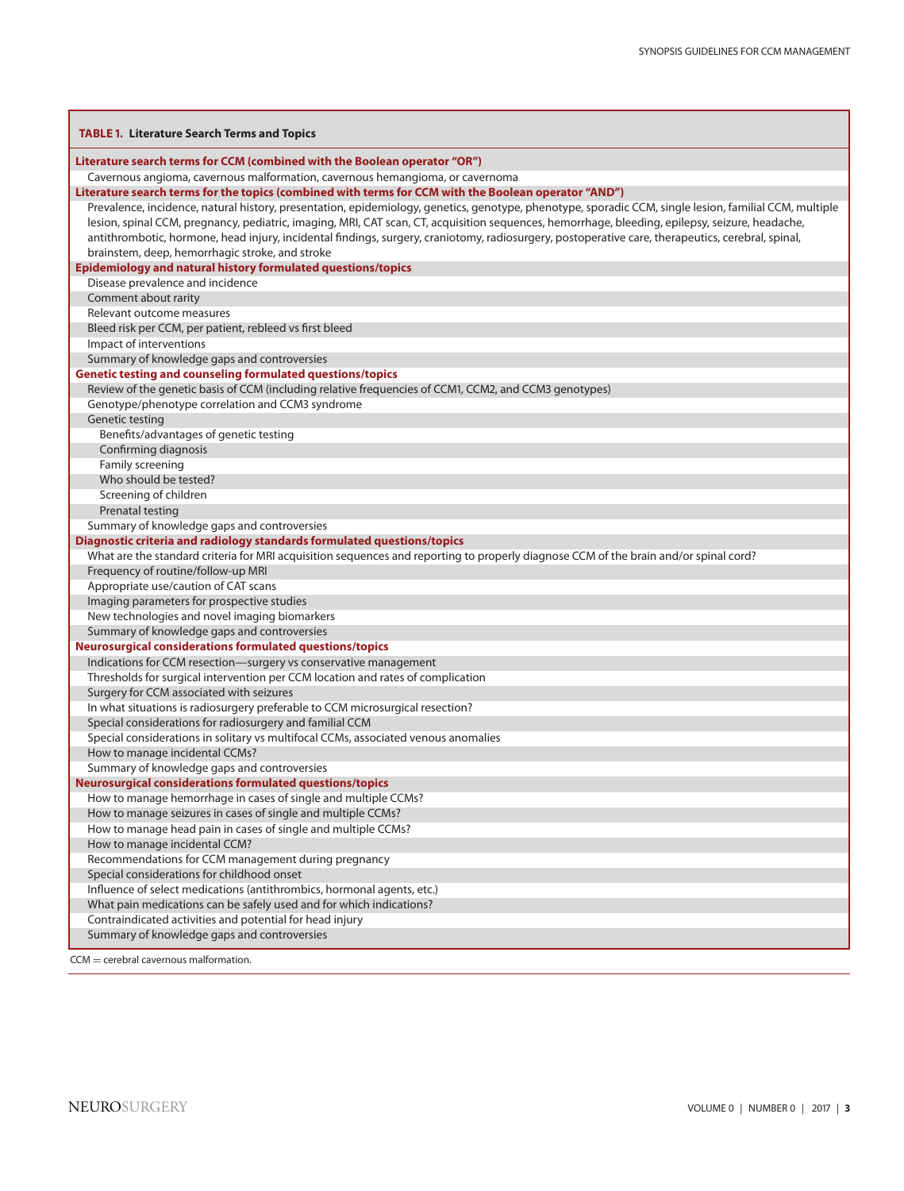| <b>TABLE 1. Literature Search Terms and Topics</b>                                                                                                     |
|--------------------------------------------------------------------------------------------------------------------------------------------------------|
| Literature search terms for CCM (combined with the Boolean operator "OR")                                                                              |
| Cavernous angioma, cavernous malformation, cavernous hemangioma, or cavernoma                                                                          |
| Literature search terms for the topics (combined with terms for CCM with the Boolean operator "AND")                                                   |
| Prevalence, incidence, natural history, presentation, epidemiology, genetics, genotype, phenotype, sporadic CCM, single lesion, familial CCM, multiple |
| lesion, spinal CCM, pregnancy, pediatric, imaging, MRI, CAT scan, CT, acquisition sequences, hemorrhage, bleeding, epilepsy, seizure, headache,        |
| antithrombotic, hormone, head injury, incidental findings, surgery, craniotomy, radiosurgery, postoperative care, therapeutics, cerebral, spinal,      |
| brainstem, deep, hemorrhagic stroke, and stroke                                                                                                        |
| Epidemiology and natural history formulated questions/topics                                                                                           |
| Disease prevalence and incidence                                                                                                                       |
| Comment about rarity                                                                                                                                   |
| Relevant outcome measures                                                                                                                              |
| Bleed risk per CCM, per patient, rebleed vs first bleed                                                                                                |
| Impact of interventions                                                                                                                                |
| Summary of knowledge gaps and controversies                                                                                                            |
| <b>Genetic testing and counseling formulated questions/topics</b>                                                                                      |
| Review of the genetic basis of CCM (including relative frequencies of CCM1, CCM2, and CCM3 genotypes)                                                  |
| Genotype/phenotype correlation and CCM3 syndrome                                                                                                       |
| Genetic testing                                                                                                                                        |
| Benefits/advantages of genetic testing                                                                                                                 |
| Confirming diagnosis                                                                                                                                   |
| Family screening<br>Who should be tested?                                                                                                              |
|                                                                                                                                                        |
| Screening of children<br>Prenatal testing                                                                                                              |
| Summary of knowledge gaps and controversies                                                                                                            |
| Diagnostic criteria and radiology standards formulated questions/topics                                                                                |
| What are the standard criteria for MRI acquisition sequences and reporting to properly diagnose CCM of the brain and/or spinal cord?                   |
| Frequency of routine/follow-up MRI                                                                                                                     |
| Appropriate use/caution of CAT scans                                                                                                                   |
| Imaging parameters for prospective studies                                                                                                             |
| New technologies and novel imaging biomarkers                                                                                                          |
| Summary of knowledge gaps and controversies                                                                                                            |
| <b>Neurosurgical considerations formulated questions/topics</b>                                                                                        |
| Indications for CCM resection-surgery vs conservative management                                                                                       |
| Thresholds for surgical intervention per CCM location and rates of complication                                                                        |
| Surgery for CCM associated with seizures                                                                                                               |
| In what situations is radiosurgery preferable to CCM microsurgical resection?                                                                          |
| Special considerations for radiosurgery and familial CCM                                                                                               |
| Special considerations in solitary vs multifocal CCMs, associated venous anomalies                                                                     |
| How to manage incidental CCMs?                                                                                                                         |
| Summary of knowledge gaps and controversies                                                                                                            |
| <b>Neurosurgical considerations formulated questions/topics</b>                                                                                        |
| How to manage hemorrhage in cases of single and multiple CCMs?                                                                                         |
| How to manage seizures in cases of single and multiple CCMs?                                                                                           |
| How to manage head pain in cases of single and multiple CCMs?                                                                                          |
| How to manage incidental CCM?                                                                                                                          |
| Recommendations for CCM management during pregnancy<br>Special considerations for childhood onset                                                      |
| Influence of select medications (antithrombics, hormonal agents, etc.)                                                                                 |
| What pain medications can be safely used and for which indications?                                                                                    |
| Contraindicated activities and potential for head injury                                                                                               |
| Summary of knowledge gaps and controversies                                                                                                            |
|                                                                                                                                                        |
| $CCM =$ cerebral cavernous malformation.                                                                                                               |

<span id="page-2-0"></span>г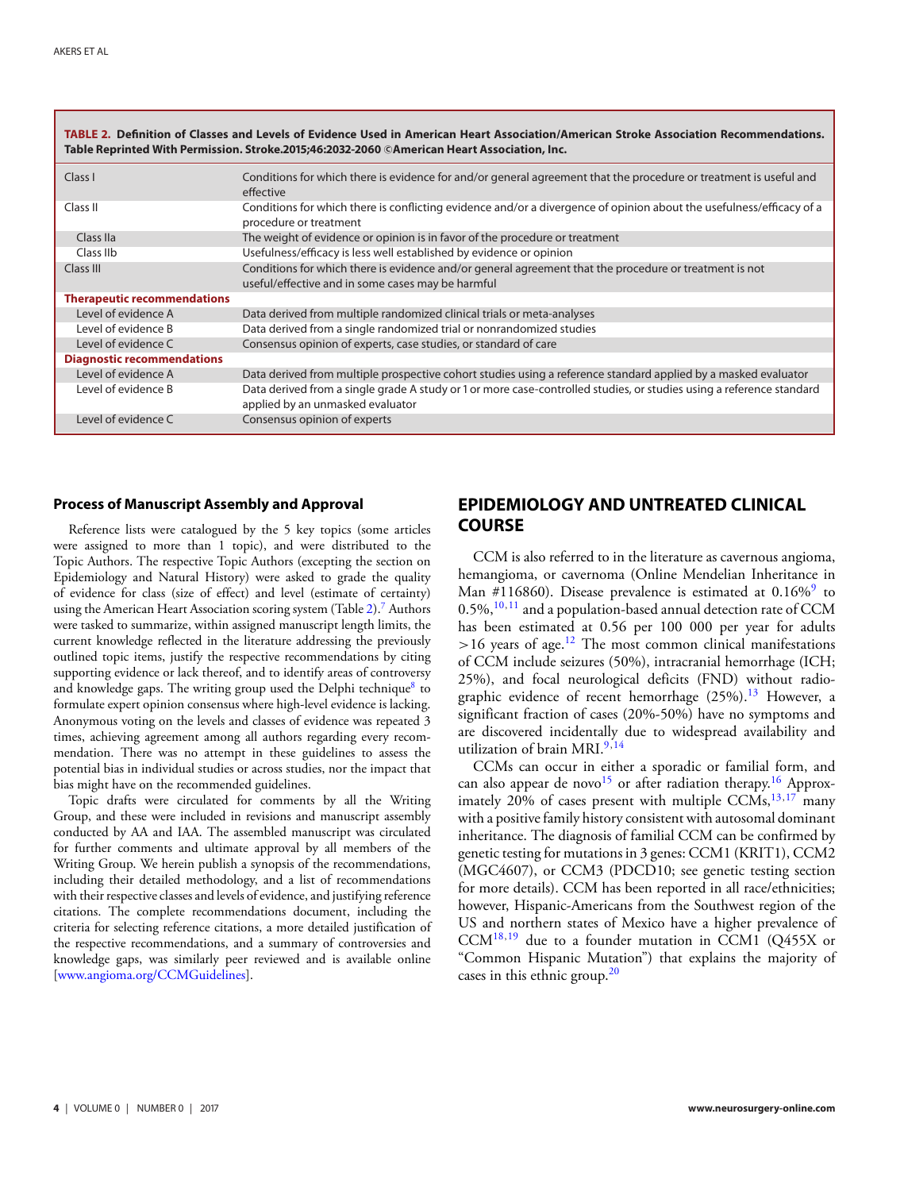<span id="page-3-0"></span>

| TABLE 2. Definition of Classes and Levels of Evidence Used in American Heart Association/American Stroke Association Recommendations.<br>Table Reprinted With Permission. Stroke.2015;46:2032-2060 ©American Heart Association, Inc. |                                                                                                                                                             |  |  |  |  |  |  |  |
|--------------------------------------------------------------------------------------------------------------------------------------------------------------------------------------------------------------------------------------|-------------------------------------------------------------------------------------------------------------------------------------------------------------|--|--|--|--|--|--|--|
| Class I                                                                                                                                                                                                                              | Conditions for which there is evidence for and/or general agreement that the procedure or treatment is useful and<br>effective                              |  |  |  |  |  |  |  |
| Class II                                                                                                                                                                                                                             | Conditions for which there is conflicting evidence and/or a divergence of opinion about the usefulness/efficacy of a<br>procedure or treatment              |  |  |  |  |  |  |  |
| Class IIa                                                                                                                                                                                                                            | The weight of evidence or opinion is in favor of the procedure or treatment                                                                                 |  |  |  |  |  |  |  |
| Class IIb                                                                                                                                                                                                                            | Usefulness/efficacy is less well established by evidence or opinion                                                                                         |  |  |  |  |  |  |  |
| Class III                                                                                                                                                                                                                            | Conditions for which there is evidence and/or general agreement that the procedure or treatment is not<br>useful/effective and in some cases may be harmful |  |  |  |  |  |  |  |
| <b>Therapeutic recommendations</b>                                                                                                                                                                                                   |                                                                                                                                                             |  |  |  |  |  |  |  |
| Level of evidence A                                                                                                                                                                                                                  | Data derived from multiple randomized clinical trials or meta-analyses                                                                                      |  |  |  |  |  |  |  |
| Level of evidence B                                                                                                                                                                                                                  | Data derived from a single randomized trial or nonrandomized studies                                                                                        |  |  |  |  |  |  |  |
| Level of evidence C                                                                                                                                                                                                                  | Consensus opinion of experts, case studies, or standard of care                                                                                             |  |  |  |  |  |  |  |
| <b>Diagnostic recommendations</b>                                                                                                                                                                                                    |                                                                                                                                                             |  |  |  |  |  |  |  |
| Level of evidence A                                                                                                                                                                                                                  | Data derived from multiple prospective cohort studies using a reference standard applied by a masked evaluator                                              |  |  |  |  |  |  |  |
| Level of evidence B                                                                                                                                                                                                                  | Data derived from a single grade A study or 1 or more case-controlled studies, or studies using a reference standard<br>applied by an unmasked evaluator    |  |  |  |  |  |  |  |
| Level of evidence C                                                                                                                                                                                                                  | Consensus opinion of experts                                                                                                                                |  |  |  |  |  |  |  |

### **Process of Manuscript Assembly and Approval**

Reference lists were catalogued by the 5 key topics (some articles were assigned to more than 1 topic), and were distributed to the Topic Authors. The respective Topic Authors (excepting the section on Epidemiology and Natural History) were asked to grade the quality of evidence for class (size of effect) and level (estimate of certainty) using the American Heart Association scoring system (Table [2\)](#page-3-0).<sup>7</sup> Authors were tasked to summarize, within assigned manuscript length limits, the current knowledge reflected in the literature addressing the previously outlined topic items, justify the respective recommendations by citing supporting evidence or lack thereof, and to identify areas of controversy and knowledge gaps. The writing group used the Delphi technique<sup>[8](#page-11-6)</sup> to formulate expert opinion consensus where high-level evidence is lacking. Anonymous voting on the levels and classes of evidence was repeated 3 times, achieving agreement among all authors regarding every recommendation. There was no attempt in these guidelines to assess the potential bias in individual studies or across studies, nor the impact that bias might have on the recommended guidelines.

Topic drafts were circulated for comments by all the Writing Group, and these were included in revisions and manuscript assembly conducted by AA and IAA. The assembled manuscript was circulated for further comments and ultimate approval by all members of the Writing Group. We herein publish a synopsis of the recommendations, including their detailed methodology, and a list of recommendations with their respective classes and levels of evidence, and justifying reference citations. The complete recommendations document, including the criteria for selecting reference citations, a more detailed justification of the respective recommendations, and a summary of controversies and knowledge gaps, was similarly peer reviewed and is available online [\[www.angioma.org/CCMGuidelines\]](http://www.angioma.org/CCMGuidelines).

# **EPIDEMIOLOGY AND UNTREATED CLINICAL COURSE**

CCM is also referred to in the literature as cavernous angioma, hemangioma, or cavernoma (Online Mendelian Inheritance in Man #116860). Disease prevalence is estimated at  $0.16\%$ <sup>9</sup> to  $0.5\%$ ,  $^{10,11}$  $^{10,11}$  $^{10,11}$  $^{10,11}$  and a population-based annual detection rate of CCM has been estimated at 0.56 per 100 000 per year for adults  $>16$  years of age.<sup>[12](#page-11-10)</sup> The most common clinical manifestations of CCM include seizures (50%), intracranial hemorrhage (ICH; 25%), and focal neurological deficits (FND) without radiographic evidence of recent hemorrhage  $(25\%)$ .<sup>[13](#page-11-11)</sup> However, a significant fraction of cases (20%-50%) have no symptoms and are discovered incidentally due to widespread availability and utilization of brain MRI.<sup>[9,](#page-11-7)[14](#page-11-12)</sup>

CCMs can occur in either a sporadic or familial form, and can also appear de novo<sup>[15](#page-11-13)</sup> or after radiation therapy.<sup>[16](#page-11-14)</sup> Approx-imately 20% of cases present with multiple CCMs,<sup>13[,17](#page-11-15)</sup> many with a positive family history consistent with autosomal dominant inheritance. The diagnosis of familial CCM can be confirmed by genetic testing for mutations in 3 genes: CCM1 (KRIT1), CCM2 (MGC4607), or CCM3 (PDCD10; see genetic testing section for more details). CCM has been reported in all race/ethnicities; however, Hispanic-Americans from the Southwest region of the US and northern states of Mexico have a higher prevalence of CCM[18,](#page-11-16)[19](#page-11-17) due to a founder mutation in CCM1 (Q455X or "Common Hispanic Mutation") that explains the majority of cases in this ethnic group.<sup>20</sup>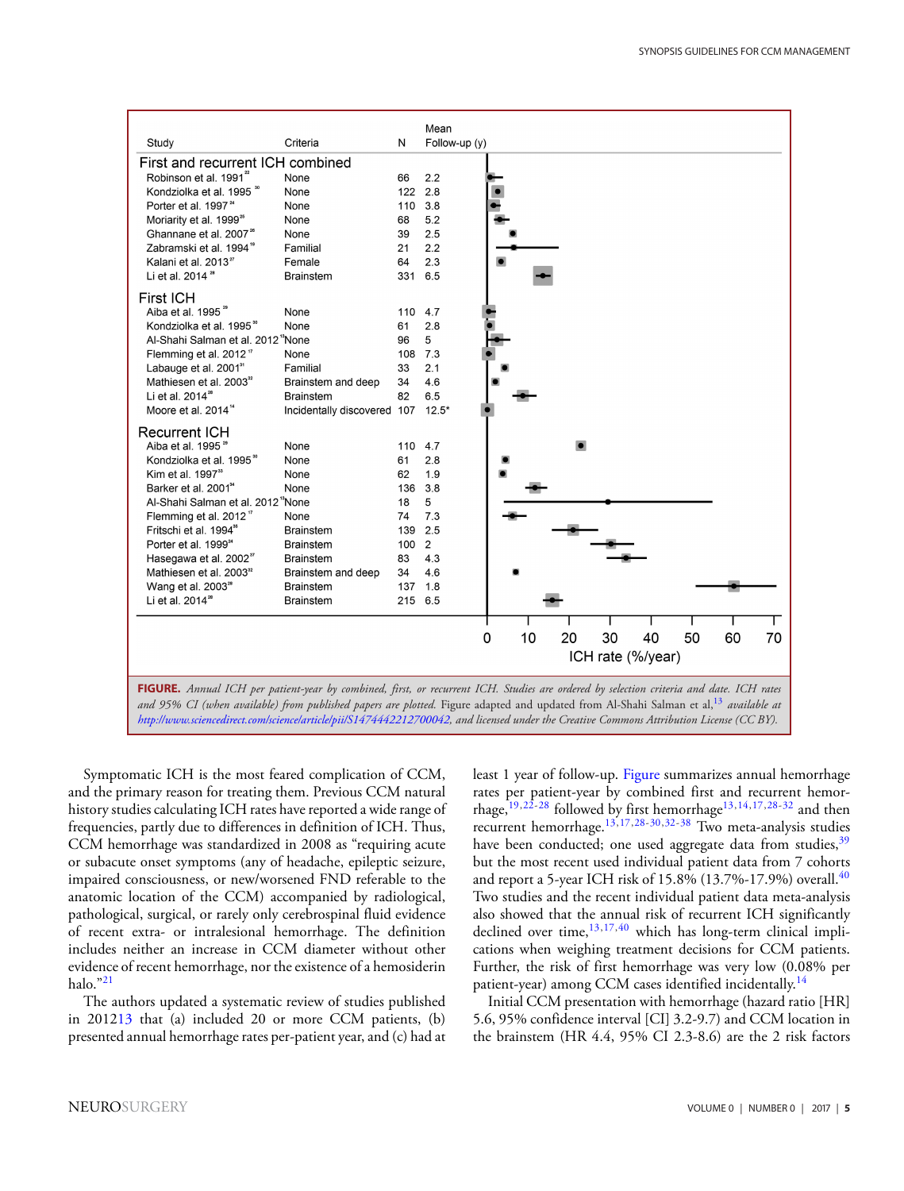<span id="page-4-0"></span>

|                                                                       |                                   |                   | Mean                                                                                                                                    |  |  |  |  |  |
|-----------------------------------------------------------------------|-----------------------------------|-------------------|-----------------------------------------------------------------------------------------------------------------------------------------|--|--|--|--|--|
| Study                                                                 | Criteria                          | N                 | Follow-up (y)                                                                                                                           |  |  |  |  |  |
| First and recurrent ICH combined                                      |                                   |                   |                                                                                                                                         |  |  |  |  |  |
| Robinson et al. 1991 <sup>22</sup>                                    | None                              | 66                | 2.2                                                                                                                                     |  |  |  |  |  |
| Kondziolka et al. 1995 <sup>®</sup>                                   | None                              |                   | 122 2.8                                                                                                                                 |  |  |  |  |  |
| Porter et al. 1997 <sup>24</sup>                                      | None                              | 110               | 3.8                                                                                                                                     |  |  |  |  |  |
| Moriarity et al. 1999 <sup>28</sup>                                   | None                              | 68                | 5.2                                                                                                                                     |  |  |  |  |  |
| Ghannane et al. 2007 <sup>26</sup>                                    | None                              | 39                | 2.5                                                                                                                                     |  |  |  |  |  |
| Zabramski et al. 1994 <sup>"</sup>                                    | Familial                          | 21                | 2.2                                                                                                                                     |  |  |  |  |  |
| Kalani et al. 2013 <sup>27</sup>                                      | Female                            | 64                | 2.3                                                                                                                                     |  |  |  |  |  |
| Li et al. 2014 <sup>28</sup>                                          | <b>Brainstem</b>                  | 331               | 6.5                                                                                                                                     |  |  |  |  |  |
| <b>First ICH</b>                                                      |                                   |                   |                                                                                                                                         |  |  |  |  |  |
| Aiba et al. 1995 <sup>29</sup>                                        | None                              |                   | 110 4.7                                                                                                                                 |  |  |  |  |  |
| Kondziolka et al. 1995 <sup>®</sup>                                   | None                              | 61                | 2.8                                                                                                                                     |  |  |  |  |  |
| Al-Shahi Salman et al. 2012 <sup>"</sup> None                         |                                   | 96                | 5                                                                                                                                       |  |  |  |  |  |
| Flemming et al. 2012"                                                 | None                              |                   | 108 7.3                                                                                                                                 |  |  |  |  |  |
| Labauge et al. 2001 <sup>31</sup>                                     | Familial                          | 33                | 2.1                                                                                                                                     |  |  |  |  |  |
| Mathiesen et al. 2003 <sup>32</sup>                                   | Brainstem and deep                | 34                | 4.6                                                                                                                                     |  |  |  |  |  |
| Li et al. 2014 <sup>28</sup>                                          | <b>Brainstem</b>                  | 82                | 6.5                                                                                                                                     |  |  |  |  |  |
| Moore et al. 2014 <sup>14</sup>                                       | Incidentally discovered 107 12.5* |                   |                                                                                                                                         |  |  |  |  |  |
|                                                                       |                                   |                   |                                                                                                                                         |  |  |  |  |  |
| <b>Recurrent ICH</b><br>Aiba et al. 1995 <sup>29</sup>                |                                   |                   |                                                                                                                                         |  |  |  |  |  |
|                                                                       | None                              |                   | 110 4.7                                                                                                                                 |  |  |  |  |  |
| Kondziolka et al. 1995 <sup>30</sup><br>Kim et al. 1997 <sup>33</sup> | None                              | 61                | 2.8<br>1.9                                                                                                                              |  |  |  |  |  |
|                                                                       | None<br>None                      | 62                | 136 3.8                                                                                                                                 |  |  |  |  |  |
| Barker et al. 2001 <sup>*</sup>                                       |                                   |                   |                                                                                                                                         |  |  |  |  |  |
| Al-Shahi Salman et al. 2012 "None                                     |                                   | 18                | 5                                                                                                                                       |  |  |  |  |  |
| Flemming et al. 2012"                                                 | None                              | 74                | 7.3<br>2.5                                                                                                                              |  |  |  |  |  |
| Fritschi et al. 1994 <sup>35</sup>                                    | <b>Brainstem</b>                  | 139               |                                                                                                                                         |  |  |  |  |  |
| Porter et al. 1999 <sup>24</sup>                                      | <b>Brainstem</b>                  | 100               | 2                                                                                                                                       |  |  |  |  |  |
| Hasegawa et al. 2002"                                                 | <b>Brainstem</b>                  | 83                | 4.3                                                                                                                                     |  |  |  |  |  |
| Mathiesen et al. 2003 <sup>32</sup>                                   | Brainstem and deep                | 34                | 4.6                                                                                                                                     |  |  |  |  |  |
| Wang et al. 2003 <sup>28</sup>                                        | <b>Brainstem</b>                  |                   | 137 1.8                                                                                                                                 |  |  |  |  |  |
| Li et al. 2014 <sup>28</sup>                                          | <b>Brainstem</b>                  |                   | 215 6.5                                                                                                                                 |  |  |  |  |  |
|                                                                       |                                   |                   |                                                                                                                                         |  |  |  |  |  |
|                                                                       |                                   |                   | 10<br>20<br>30<br>40<br>50<br>60<br>0<br>70                                                                                             |  |  |  |  |  |
|                                                                       |                                   | ICH rate (%/year) |                                                                                                                                         |  |  |  |  |  |
|                                                                       |                                   |                   |                                                                                                                                         |  |  |  |  |  |
|                                                                       |                                   |                   | FIGURE. Annual ICH per patient-year by combined, first, or recurrent ICH. Studies are ordered by selection criteria and date. ICH rates |  |  |  |  |  |
|                                                                       |                                   |                   | $1.050\sqrt{CI}$ $1.11C$ $1.11L$ $1.1L$ $1.1L$ $1.1L$ $1.1C$ $1.011C$ $1.13$ $1.1L$                                                     |  |  |  |  |  |



Symptomatic ICH is the most feared complication of CCM, and the primary reason for treating them. Previous CCM natural history studies calculating ICH rates have reported a wide range of frequencies, partly due to differences in definition of ICH. Thus, CCM hemorrhage was standardized in 2008 as "requiring acute or subacute onset symptoms (any of headache, epileptic seizure, impaired consciousness, or new/worsened FND referable to the anatomic location of the CCM) accompanied by radiological, pathological, surgical, or rarely only cerebrospinal fluid evidence of recent extra- or intralesional hemorrhage. The definition includes neither an increase in CCM diameter without other evidence of recent hemorrhage, nor the existence of a hemosiderin halo.["21](#page-11-19)

The authors updated a systematic review of studies published in 201[213](#page-11-11) that (a) included 20 or more CCM patients, (b) presented annual hemorrhage rates per-patient year, and (c) had at least 1 year of follow-up. [Figure](#page-4-0) summarizes annual hemorrhage rates per patient-year by combined first and recurrent hemor-rhage,<sup>[19,](#page-11-17)[22-](#page-11-20)[28](#page-11-21)</sup> followed by first hemorrhage<sup>13,[14,](#page-11-12)[17,](#page-11-15)[28-](#page-11-21)[32](#page-11-22)</sup> and then recurrent hemorrhage.<sup>[13](#page-11-11)[,17,](#page-11-15)[28-](#page-11-21)[30,](#page-11-23)[32](#page-11-22)[-38](#page-12-0)</sup> Two meta-analysis studies have been conducted; one used aggregate data from studies,<sup>39</sup> but the most recent used individual patient data from 7 cohorts and report a 5-year ICH risk of  $15.8\%$  (13.7%-17.9%) overall.<sup>40</sup> Two studies and the recent individual patient data meta-analysis also showed that the annual risk of recurrent ICH significantly declined over time, $13,17,40$  $13,17,40$  $13,17,40$  which has long-term clinical implications when weighing treatment decisions for CCM patients. Further, the risk of first hemorrhage was very low (0.08% per patient-year) among CCM cases identified incidentally.[14](#page-11-12)

Initial CCM presentation with hemorrhage (hazard ratio [HR] 5.6, 95% confidence interval [CI] 3.2-9.7) and CCM location in the brainstem (HR 4.4, 95% CI 2.3-8.6) are the 2 risk factors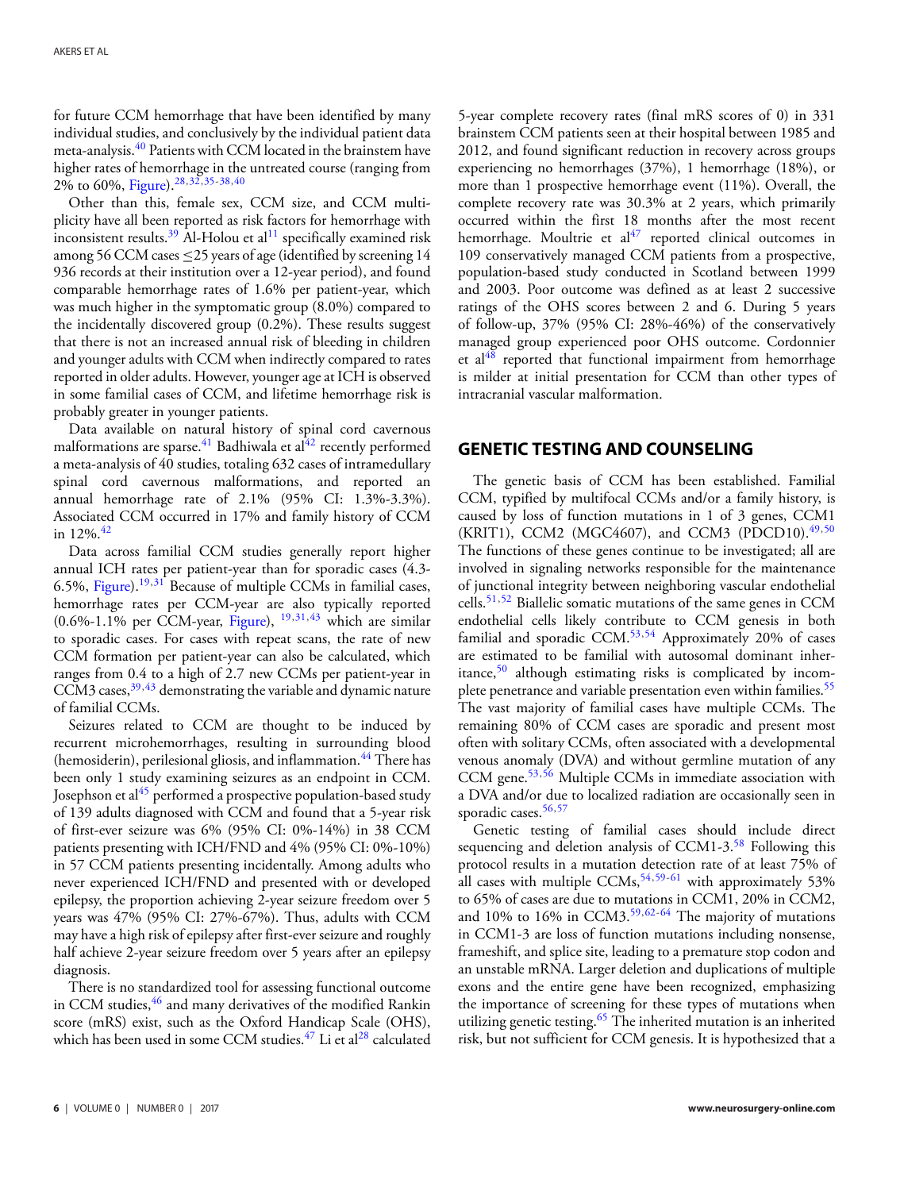for future CCM hemorrhage that have been identified by many individual studies, and conclusively by the individual patient data meta-analysis.<sup>[40](#page-12-2)</sup> Patients with CCM located in the brainstem have higher rates of hemorrhage in the untreated course (ranging from 2% to 60%, [Figure\)](#page-4-0).<sup>[28](#page-11-21)[,32,](#page-11-22)[35-](#page-12-3)[38,](#page-12-0)[40](#page-12-2)</sup>

Other than this, female sex, CCM size, and CCM multiplicity have all been reported as risk factors for hemorrhage with inconsistent results.<sup>39</sup> Al-Holou et al<sup>[11](#page-11-9)</sup> specifically examined risk among 56 CCM cases  $\leq$ 25 years of age (identified by screening 14 936 records at their institution over a 12-year period), and found comparable hemorrhage rates of 1.6% per patient-year, which was much higher in the symptomatic group (8.0%) compared to the incidentally discovered group (0.2%). These results suggest that there is not an increased annual risk of bleeding in children and younger adults with CCM when indirectly compared to rates reported in older adults. However, younger age at ICH is observed in some familial cases of CCM, and lifetime hemorrhage risk is probably greater in younger patients.

Data available on natural history of spinal cord cavernous malformations are sparse.<sup>[41](#page-12-4)</sup> Badhiwala et al<sup>42</sup> recently performed a meta-analysis of  $40$  studies, totaling 632 cases of intramedullary spinal cord cavernous malformations, and reported an annual hemorrhage rate of 2.1% (95% CI: 1.3%-3.3%). Associated CCM occurred in 17% and family history of CCM in 12%.[42](#page-12-5)

Data across familial CCM studies generally report higher annual ICH rates per patient-year than for sporadic cases (4.3- 6.5%, [Figure\)](#page-4-0).<sup>[19,](#page-11-17)[31](#page-11-24)</sup> Because of multiple CCMs in familial cases, hemorrhage rates per CCM-year are also typically reported  $(0.6\% - 1.1\%$  per CCM-year, [Figure\)](#page-4-0),  $^{19,31,43}$  $^{19,31,43}$  $^{19,31,43}$  $^{19,31,43}$  $^{19,31,43}$  which are similar to sporadic cases. For cases with repeat scans, the rate of new CCM formation per patient-year can also be calculated, which ranges from 0.4 to a high of 2.7 new CCMs per patient-year in CCM3 cases,  $39,43$  $39,43$  demonstrating the variable and dynamic nature of familial CCMs.

Seizures related to CCM are thought to be induced by recurrent microhemorrhages, resulting in surrounding blood (hemosiderin), perilesional gliosis, and inflammation.<sup>44</sup> There has been only 1 study examining seizures as an endpoint in CCM. Josephson et al<sup>45</sup> performed a prospective population-based study of 139 adults diagnosed with CCM and found that a 5-year risk of first-ever seizure was 6% (95% CI: 0%-14%) in 38 CCM patients presenting with ICH/FND and 4% (95% CI: 0%-10%) in 57 CCM patients presenting incidentally. Among adults who never experienced ICH/FND and presented with or developed epilepsy, the proportion achieving 2-year seizure freedom over 5 years was 47% (95% CI: 27%-67%). Thus, adults with CCM may have a high risk of epilepsy after first-ever seizure and roughly half achieve 2-year seizure freedom over 5 years after an epilepsy diagnosis.

There is no standardized tool for assessing functional outcome in CCM studies, <sup>46</sup> and many derivatives of the modified Rankin score (mRS) exist, such as the Oxford Handicap Scale (OHS), which has been used in some CCM studies. $^{47}$  $^{47}$  $^{47}$  Li et al<sup>28</sup> calculated

5-year complete recovery rates (final mRS scores of 0) in 331 brainstem CCM patients seen at their hospital between 1985 and 2012, and found significant reduction in recovery across groups experiencing no hemorrhages (37%), 1 hemorrhage (18%), or more than 1 prospective hemorrhage event (11%). Overall, the complete recovery rate was 30.3% at 2 years, which primarily occurred within the first 18 months after the most recent hemorrhage. Moultrie et  $al^{47}$  $al^{47}$  $al^{47}$  reported clinical outcomes in 109 conservatively managed CCM patients from a prospective, population-based study conducted in Scotland between 1999 and 2003. Poor outcome was defined as at least 2 successive ratings of the OHS scores between 2 and 6. During 5 years of follow-up, 37% (95% CI: 28%-46%) of the conservatively managed group experienced poor OHS outcome. Cordonnier et al<sup>48</sup> reported that functional impairment from hemorrhage is milder at initial presentation for CCM than other types of intracranial vascular malformation.

### **GENETIC TESTING AND COUNSELING**

The genetic basis of CCM has been established. Familial CCM, typified by multifocal CCMs and/or a family history, is caused by loss of function mutations in 1 of 3 genes, CCM1 (KRIT1), CCM2 (MGC4607), and CCM3 (PDCD10).<sup>[49,](#page-12-12)[50](#page-12-13)</sup> The functions of these genes continue to be investigated; all are involved in signaling networks responsible for the maintenance of junctional integrity between neighboring vascular endothelial cells.<sup>[51](#page-12-14)[,52](#page-12-15)</sup> Biallelic somatic mutations of the same genes in CCM endothelial cells likely contribute to CCM genesis in both familial and sporadic CCM. $53,54$  $53,54$  Approximately 20% of cases are estimated to be familial with autosomal dominant inheritance, $50$  although estimating risks is complicated by incomplete penetrance and variable presentation even within families.<sup>55</sup> The vast majority of familial cases have multiple CCMs. The remaining 80% of CCM cases are sporadic and present most often with solitary CCMs, often associated with a developmental venous anomaly (DVA) and without germline mutation of any CCM gene.<sup>[53,](#page-12-16)[56](#page-12-19)</sup> Multiple CCMs in immediate association with a DVA and/or due to localized radiation are occasionally seen in sporadic cases.<sup>[56,](#page-12-19)[57](#page-12-20)</sup>

Genetic testing of familial cases should include direct sequencing and deletion analysis of CCM1-3.<sup>58</sup> Following this protocol results in a mutation detection rate of at least 75% of all cases with multiple CCMs,  $54,59-61$  $54,59-61$  $54,59-61$  with approximately 53% to 65% of cases are due to mutations in CCM1, 20% in CCM2, and 10% to 16% in CCM3.<sup>[59,](#page-12-22)[62](#page-12-24)[-64](#page-12-25)</sup> The majority of mutations in CCM1-3 are loss of function mutations including nonsense, frameshift, and splice site, leading to a premature stop codon and an unstable mRNA. Larger deletion and duplications of multiple exons and the entire gene have been recognized, emphasizing the importance of screening for these types of mutations when utilizing genetic testing.<sup>65</sup> The inherited mutation is an inherited risk, but not sufficient for CCM genesis. It is hypothesized that a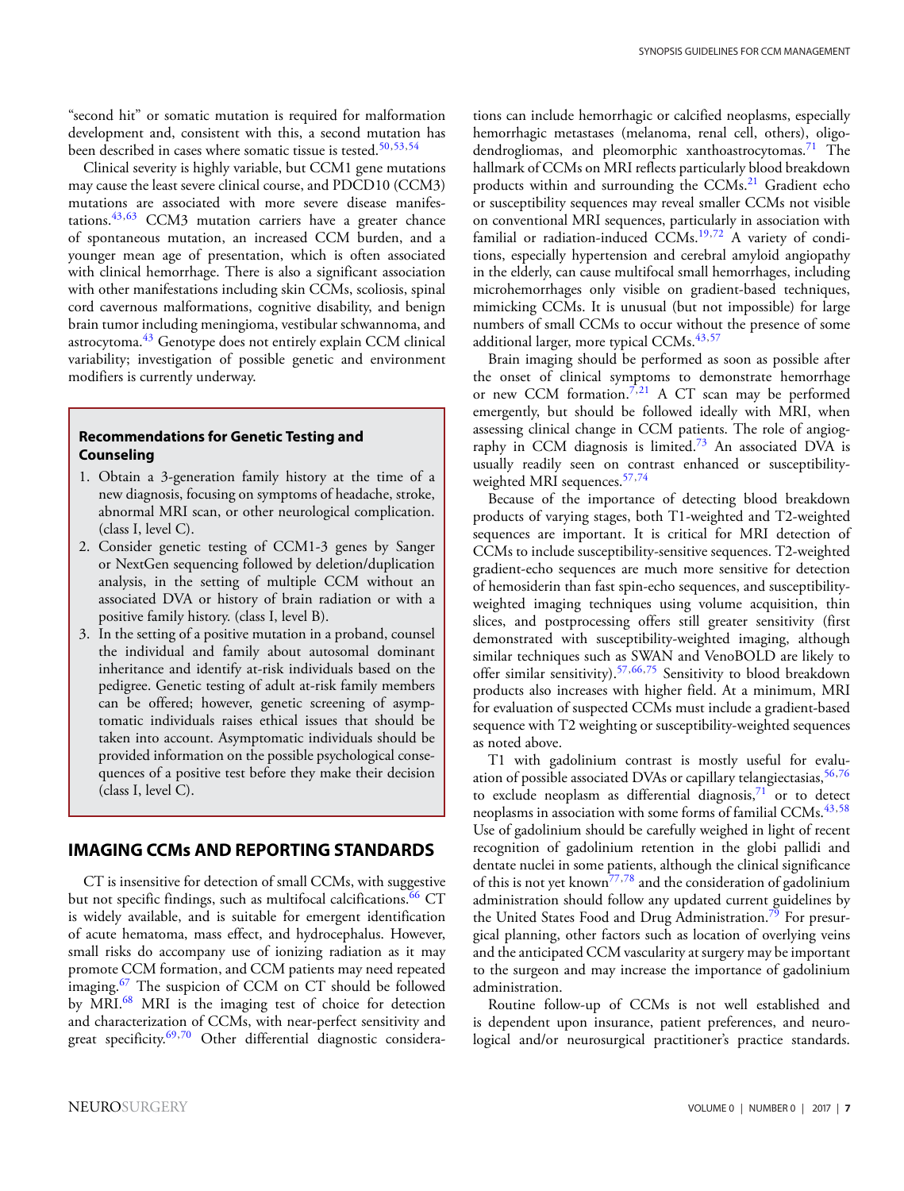"second hit" or somatic mutation is required for malformation development and, consistent with this, a second mutation has been described in cases where somatic tissue is tested.<sup>[50,](#page-12-13)[53,](#page-12-16)[54](#page-12-17)</sup>

Clinical severity is highly variable, but CCM1 gene mutations may cause the least severe clinical course, and PDCD10 (CCM3) mutations are associated with more severe disease manifes-tations.<sup>43,[63](#page-12-27)</sup> CCM3 mutation carriers have a greater chance of spontaneous mutation, an increased CCM burden, and a younger mean age of presentation, which is often associated with clinical hemorrhage. There is also a significant association with other manifestations including skin CCMs, scoliosis, spinal cord cavernous malformations, cognitive disability, and benign brain tumor including meningioma, vestibular schwannoma, and astrocytoma.<sup>43</sup> Genotype does not entirely explain CCM clinical variability; investigation of possible genetic and environment modifiers is currently underway.

### **Recommendations for Genetic Testing and Counseling**

- 1. Obtain a 3-generation family history at the time of a new diagnosis, focusing on symptoms of headache, stroke, abnormal MRI scan, or other neurological complication. (class I, level C).
- 2. Consider genetic testing of CCM1-3 genes by Sanger or NextGen sequencing followed by deletion/duplication analysis, in the setting of multiple CCM without an associated DVA or history of brain radiation or with a positive family history. (class I, level B).
- 3. In the setting of a positive mutation in a proband, counsel the individual and family about autosomal dominant inheritance and identify at-risk individuals based on the pedigree. Genetic testing of adult at-risk family members can be offered; however, genetic screening of asymptomatic individuals raises ethical issues that should be taken into account. Asymptomatic individuals should be provided information on the possible psychological consequences of a positive test before they make their decision (class I, level C).

# **IMAGING CCMs AND REPORTING STANDARDS**

CT is insensitive for detection of small CCMs, with suggestive but not specific findings, such as multifocal calcifications.<sup>[66](#page-12-28)</sup> CT is widely available, and is suitable for emergent identification of acute hematoma, mass effect, and hydrocephalus. However, small risks do accompany use of ionizing radiation as it may promote CCM formation, and CCM patients may need repeated imaging.<sup>[67](#page-12-29)</sup> The suspicion of CCM on CT should be followed by MRI.[68](#page-12-30) MRI is the imaging test of choice for detection and characterization of CCMs, with near-perfect sensitivity and great specificity.<sup>69,[70](#page-12-32)</sup> Other differential diagnostic considerations can include hemorrhagic or calcified neoplasms, especially hemorrhagic metastases (melanoma, renal cell, others), oligodendrogliomas, and pleomorphic xanthoastrocytomas.<sup>71</sup> The hallmark of CCMs on MRI reflects particularly blood breakdown products within and surrounding the CCMs.<sup>21</sup> Gradient echo or susceptibility sequences may reveal smaller CCMs not visible on conventional MRI sequences, particularly in association with familial or radiation-induced  $CCMs$ <sup>19,[72](#page-12-34)</sup> A variety of conditions, especially hypertension and cerebral amyloid angiopathy in the elderly, can cause multifocal small hemorrhages, including microhemorrhages only visible on gradient-based techniques, mimicking CCMs. It is unusual (but not impossible) for large numbers of small CCMs to occur without the presence of some additional larger, more typical CCMs.<sup>[43,](#page-12-6)[57](#page-12-20)</sup>

Brain imaging should be performed as soon as possible after the onset of clinical symptoms to demonstrate hemorrhage or new CCM formation.<sup>[7,](#page-11-5)[21](#page-11-19)</sup> A CT scan may be performed emergently, but should be followed ideally with MRI, when assessing clinical change in CCM patients. The role of angiog-raphy in CCM diagnosis is limited.<sup>[73](#page-12-35)</sup> An associated DVA is usually readily seen on contrast enhanced or susceptibilityweighted MRI sequences[.57,](#page-12-20)[74](#page-12-36)

Because of the importance of detecting blood breakdown products of varying stages, both T1-weighted and T2-weighted sequences are important. It is critical for MRI detection of CCMs to include susceptibility-sensitive sequences. T2-weighted gradient-echo sequences are much more sensitive for detection of hemosiderin than fast spin-echo sequences, and susceptibilityweighted imaging techniques using volume acquisition, thin slices, and postprocessing offers still greater sensitivity (first demonstrated with susceptibility-weighted imaging, although similar techniques such as SWAN and VenoBOLD are likely to offer similar sensitivity)[.57,](#page-12-20)[66,](#page-12-28)[75](#page-12-37) Sensitivity to blood breakdown products also increases with higher field. At a minimum, MRI for evaluation of suspected CCMs must include a gradient-based sequence with T2 weighting or susceptibility-weighted sequences as noted above.

T1 with gadolinium contrast is mostly useful for evalu-ation of possible associated DVAs or capillary telangiectasias, [56](#page-12-19)[,76](#page-12-38) to exclude neoplasm as differential diagnosis, $71$  or to detect neoplasms in association with some forms of familial CCMs.<sup>[43](#page-12-6)[,58](#page-12-21)</sup> Use of gadolinium should be carefully weighed in light of recent recognition of gadolinium retention in the globi pallidi and dentate nuclei in some patients, although the clinical significance of this is not yet know[n77,](#page-12-39)[78](#page-13-0) and the consideration of gadolinium administration should follow any updated current guidelines by the United States Food and Drug Administration.<sup>[79](#page-13-1)</sup> For presurgical planning, other factors such as location of overlying veins and the anticipated CCM vascularity at surgery may be important to the surgeon and may increase the importance of gadolinium administration[.](#page-7-0)

Routine follow-up of CCMs is not well established and is dependent upon insurance, patient preferences, and neurological and/or neurosurgical practitioner's practice standards.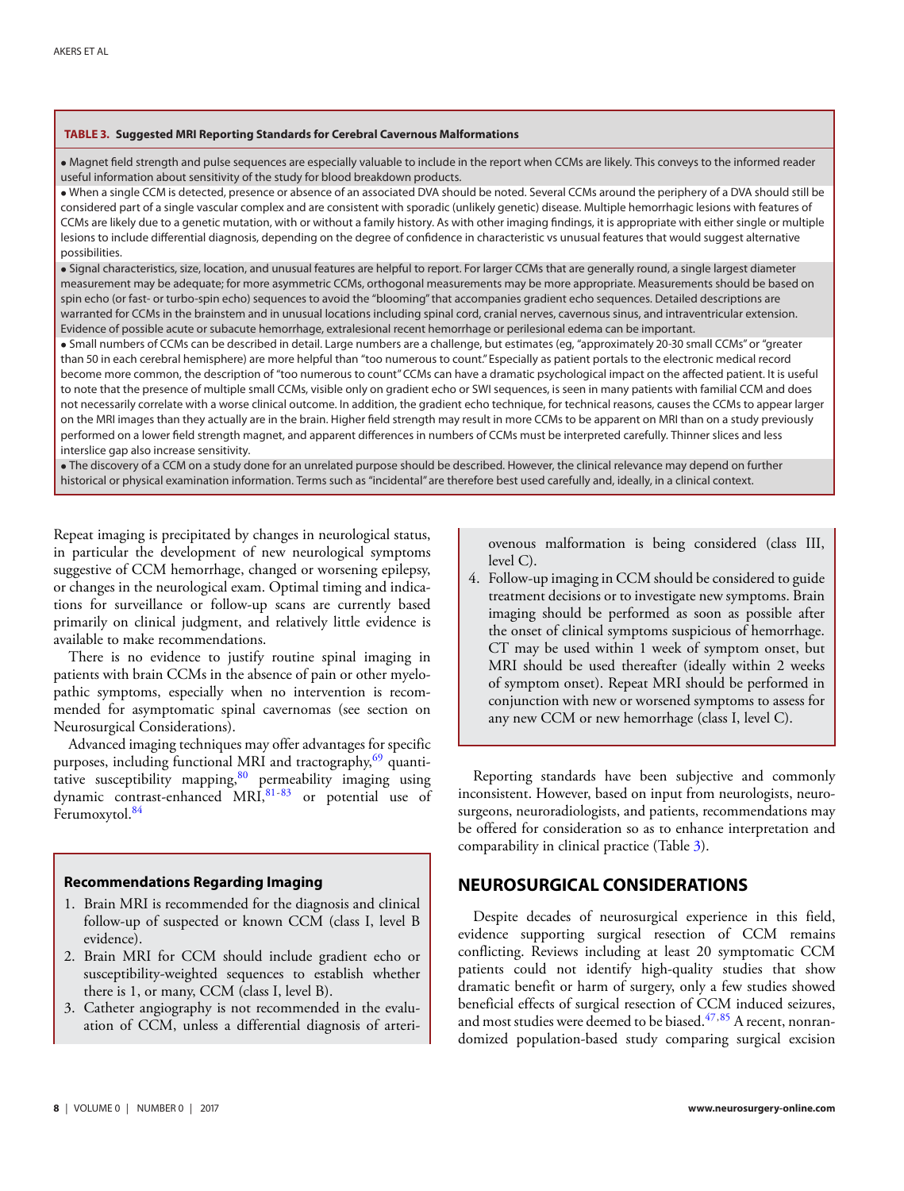#### <span id="page-7-0"></span>**TABLE 3. Suggested MRI Reporting Standards for Cerebral Cavernous Malformations**

• Magnet field strength and pulse sequences are especially valuable to include in the report when CCMs are likely. This conveys to the informed reader useful information about sensitivity of the study for blood breakdown products.

• When a single CCM is detected, presence or absence of an associated DVA should be noted. Several CCMs around the periphery of a DVA should still be considered part of a single vascular complex and are consistent with sporadic (unlikely genetic) disease. Multiple hemorrhagic lesions with features of CCMs are likely due to a genetic mutation, with or without a family history. As with other imaging findings, it is appropriate with either single or multiple lesions to include differential diagnosis, depending on the degree of confidence in characteristic vs unusual features that would suggest alternative possibilities.

• Signal characteristics, size, location, and unusual features are helpful to report. For larger CCMs that are generally round, a single largest diameter measurement may be adequate; for more asymmetric CCMs, orthogonal measurements may be more appropriate. Measurements should be based on spin echo (or fast- or turbo-spin echo) sequences to avoid the "blooming" that accompanies gradient echo sequences. Detailed descriptions are warranted for CCMs in the brainstem and in unusual locations including spinal cord, cranial nerves, cavernous sinus, and intraventricular extension. Evidence of possible acute or subacute hemorrhage, extralesional recent hemorrhage or perilesional edema can be important.

• Small numbers of CCMs can be described in detail. Large numbers are a challenge, but estimates (eg, "approximately 20-30 small CCMs" or "greater than 50 in each cerebral hemisphere) are more helpful than "too numerous to count." Especially as patient portals to the electronic medical record become more common, the description of "too numerous to count" CCMs can have a dramatic psychological impact on the affected patient. It is useful to note that the presence of multiple small CCMs, visible only on gradient echo or SWI sequences, is seen in many patients with familial CCM and does not necessarily correlate with a worse clinical outcome. In addition, the gradient echo technique, for technical reasons, causes the CCMs to appear larger on the MRI images than they actually are in the brain. Higher field strength may result in more CCMs to be apparent on MRI than on a study previously performed on a lower field strength magnet, and apparent differences in numbers of CCMs must be interpreted carefully. Thinner slices and less interslice gap also increase sensitivity.

• The discovery of a CCM on a study done for an unrelated purpose should be described. However, the clinical relevance may depend on further historical or physical examination information. Terms such as "incidental" are therefore best used carefully and, ideally, in a clinical context.

Repeat imaging is precipitated by changes in neurological status, in particular the development of new neurological symptoms suggestive of CCM hemorrhage, changed or worsening epilepsy, or changes in the neurological exam. Optimal timing and indications for surveillance or follow-up scans are currently based primarily on clinical judgment, and relatively little evidence is available to make recommendations.

There is no evidence to justify routine spinal imaging in patients with brain CCMs in the absence of pain or other myelopathic symptoms, especially when no intervention is recommended for asymptomatic spinal cavernomas (see section on Neurosurgical Considerations).

Advanced imaging techniques may offer advantages for specific purposes, including functional MRI and tractography,<sup>[69](#page-12-31)</sup> quantitative susceptibility mapping, $80$  permeability imaging using dynamic contrast-enhanced MRI,<sup>[81-](#page-13-3)[83](#page-13-4)</sup> or potential use of Ferumoxytol.<sup>[84](#page-13-5)</sup>

### **Recommendations Regarding Imaging**

- 1. Brain MRI is recommended for the diagnosis and clinical follow-up of suspected or known CCM (class I, level B evidence).
- 2. Brain MRI for CCM should include gradient echo or susceptibility-weighted sequences to establish whether there is 1, or many, CCM (class I, level B).
- 3. Catheter angiography is not recommended in the evaluation of CCM, unless a differential diagnosis of arteri-

ovenous malformation is being considered (class III, level C).

4. Follow-up imaging in CCM should be considered to guide treatment decisions or to investigate new symptoms. Brain imaging should be performed as soon as possible after the onset of clinical symptoms suspicious of hemorrhage. CT may be used within 1 week of symptom onset, but MRI should be used thereafter (ideally within 2 weeks of symptom onset). Repeat MRI should be performed in conjunction with new or worsened symptoms to assess for any new CCM or new hemorrhage (class I, level C).

Reporting standards have been subjective and commonly inconsistent. However, based on input from neurologists, neurosurgeons, neuroradiologists, and patients, recommendations may be offered for consideration so as to enhance interpretation and comparability in clinical practice (Table [3\)](#page-7-0).

# **NEUROSURGICAL CONSIDERATIONS**

Despite decades of neurosurgical experience in this field, evidence supporting surgical resection of CCM remains conflicting. Reviews including at least 20 symptomatic CCM patients could not identify high-quality studies that show dramatic benefit or harm of surgery, only a few studies showed beneficial effects of surgical resection of CCM induced seizures, and most studies were deemed to be biased.<sup>[47,](#page-12-10)[85](#page-13-6)</sup> A recent, nonrandomized population-based study comparing surgical excision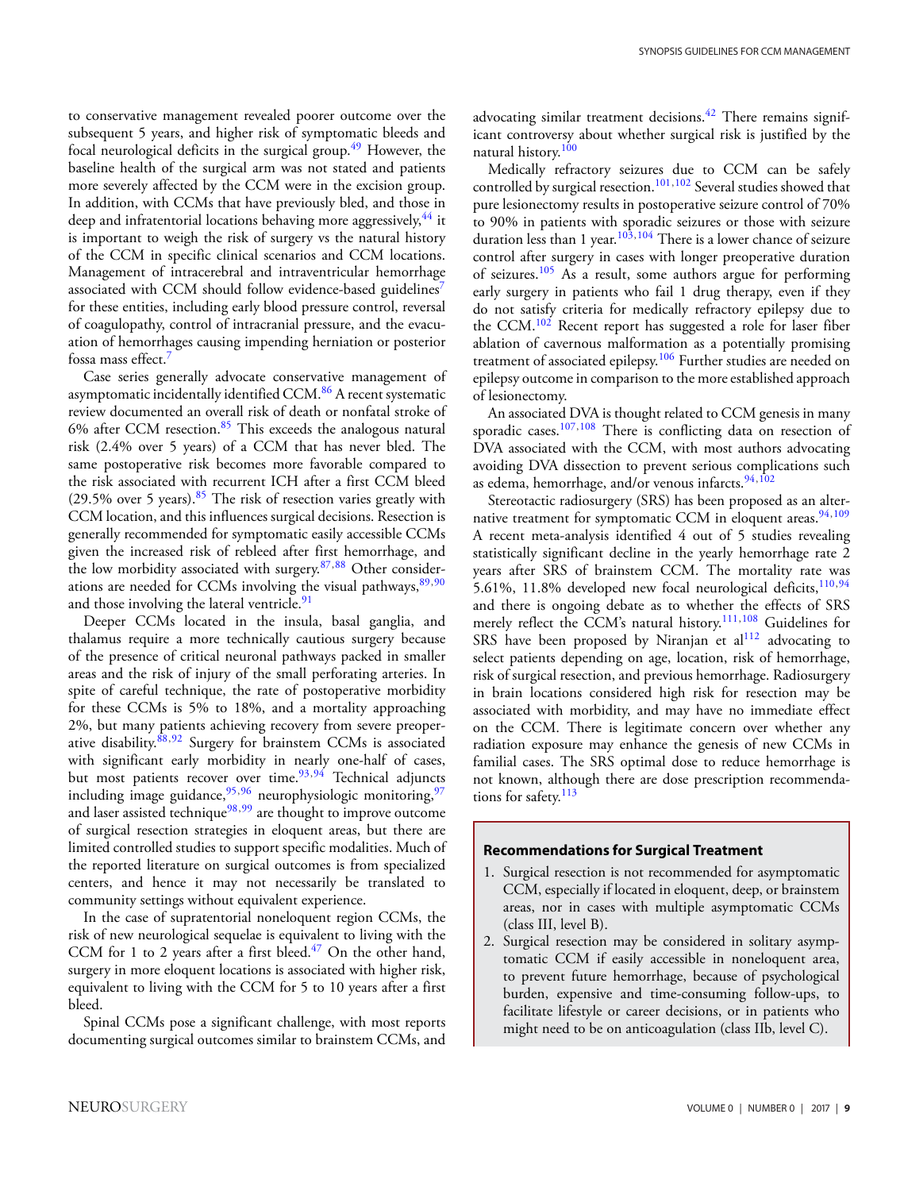to conservative management revealed poorer outcome over the subsequent 5 years, and higher risk of symptomatic bleeds and focal neurological deficits in the surgical group.<sup>49</sup> However, the baseline health of the surgical arm was not stated and patients more severely affected by the CCM were in the excision group. In addition, with CCMs that have previously bled, and those in deep and infratentorial locations behaving more aggressively, <sup>[44](#page-12-7)</sup> it is important to weigh the risk of surgery vs the natural history of the CCM in specific clinical scenarios and CCM locations. Management of intracerebral and intraventricular hemorrhage associated with CCM should follow evidence-based guidelines<sup>7</sup> for these entities, including early blood pressure control, reversal of coagulopathy, control of intracranial pressure, and the evacuation of hemorrhages causing impending herniation or posterior fossa mass effect[.7](#page-11-5)

Case series generally advocate conservative management of asymptomatic incidentally identified CCM.<sup>[86](#page-13-7)</sup> A recent systematic review documented an overall risk of death or nonfatal stroke of 6% after CCM resection. $85$  This exceeds the analogous natural risk (2.4% over 5 years) of a CCM that has never bled. The same postoperative risk becomes more favorable compared to the risk associated with recurrent ICH after a first CCM bleed (29.5% over 5 years). $85$  The risk of resection varies greatly with CCM location, and this influences surgical decisions. Resection is generally recommended for symptomatic easily accessible CCMs given the increased risk of rebleed after first hemorrhage, and the low morbidity associated with surgery.<sup>[87,](#page-13-8)[88](#page-13-9)</sup> Other considerations are needed for CCMs involving the visual pathways,  $89,90$  $89,90$ and those involving the lateral ventricle.<sup>91</sup>

Deeper CCMs located in the insula, basal ganglia, and thalamus require a more technically cautious surgery because of the presence of critical neuronal pathways packed in smaller areas and the risk of injury of the small perforating arteries. In spite of careful technique, the rate of postoperative morbidity for these CCMs is 5% to 18%, and a mortality approaching 2%, but many patients achieving recovery from severe preoper-ative disability.<sup>88,[92](#page-13-13)</sup> Surgery for brainstem CCMs is associated with significant early morbidity in nearly one-half of cases, but most patients recover over time.<sup>93,[94](#page-13-15)</sup> Technical adjuncts including image guidance,  $95,96$  $95,96$  neurophysiologic monitoring,  $97$ and laser assisted technique $98,99$  $98,99$  are thought to improve outcome of surgical resection strategies in eloquent areas, but there are limited controlled studies to support specific modalities. Much of the reported literature on surgical outcomes is from specialized centers, and hence it may not necessarily be translated to community settings without equivalent experience.

In the case of supratentorial noneloquent region CCMs, the risk of new neurological sequelae is equivalent to living with the CCM for 1 to 2 years after a first bleed. $47$  On the other hand, surgery in more eloquent locations is associated with higher risk, equivalent to living with the CCM for 5 to 10 years after a first bleed.

Spinal CCMs pose a significant challenge, with most reports documenting surgical outcomes similar to brainstem CCMs, and advocating similar treatment decisions.<sup>42</sup> There remains significant controversy about whether surgical risk is justified by the natural history.[100](#page-13-21)

Medically refractory seizures due to CCM can be safely controlled by surgical resection.<sup>101,[102](#page-13-23)</sup> Several studies showed that pure lesionectomy results in postoperative seizure control of 70% to 90% in patients with sporadic seizures or those with seizure duration less than 1 year.<sup>[103,](#page-13-24)[104](#page-13-25)</sup> There is a lower chance of seizure control after surgery in cases with longer preoperative duration of seizures.<sup>105</sup> As a result, some authors argue for performing early surgery in patients who fail 1 drug therapy, even if they do not satisfy criteria for medically refractory epilepsy due to the CCM.<sup>[102](#page-13-23)</sup> Recent report has suggested a role for laser fiber ablation of cavernous malformation as a potentially promising treatment of associated epilepsy.<sup>[106](#page-13-27)</sup> Further studies are needed on epilepsy outcome in comparison to the more established approach of lesionectomy.

An associated DVA is thought related to CCM genesis in many sporadic cases.<sup>[107,](#page-13-28)[108](#page-13-29)</sup> There is conflicting data on resection of DVA associated with the CCM, with most authors advocating avoiding DVA dissection to prevent serious complications such as edema, hemorrhage, and/or venous infarcts.<sup>[94,](#page-13-15)[102](#page-13-23)</sup>

Stereotactic radiosurgery (SRS) has been proposed as an alternative treatment for symptomatic CCM in eloquent areas. $94,109$  $94,109$ A recent meta-analysis identified 4 out of 5 studies revealing statistically significant decline in the yearly hemorrhage rate 2 years after SRS of brainstem CCM. The mortality rate was 5.61%, 11.8% developed new focal neurological deficits,  $110,94$  $110,94$ and there is ongoing debate as to whether the effects of SRS merely reflect the CCM's natural history.[111,](#page-13-32)[108](#page-13-29) Guidelines for SRS have been proposed by Niranjan et  $al<sup>112</sup>$  advocating to select patients depending on age, location, risk of hemorrhage, risk of surgical resection, and previous hemorrhage. Radiosurgery in brain locations considered high risk for resection may be associated with morbidity, and may have no immediate effect on the CCM. There is legitimate concern over whether any radiation exposure may enhance the genesis of new CCMs in familial cases. The SRS optimal dose to reduce hemorrhage is no[t](#page-9-0) known, although there are dose prescription recommendations for safety. $113$ 

### **Recommendations for Surgical Treatment**

- 1. Surgical resection is not recommended for asymptomatic CCM, especially if located in eloquent, deep, or brainstem areas, nor in cases with multiple asymptomatic CCMs (class III, level B).
- 2. Surgical resection may be considered in solitary asymptomatic CCM if easily accessible in noneloquent area, to prevent future hemorrhage, because of psychological burden, expensive and time-consuming follow-ups, to facilitate lifestyle or career decisions, or in patients who might need to be on anticoagulation (class IIb, level C).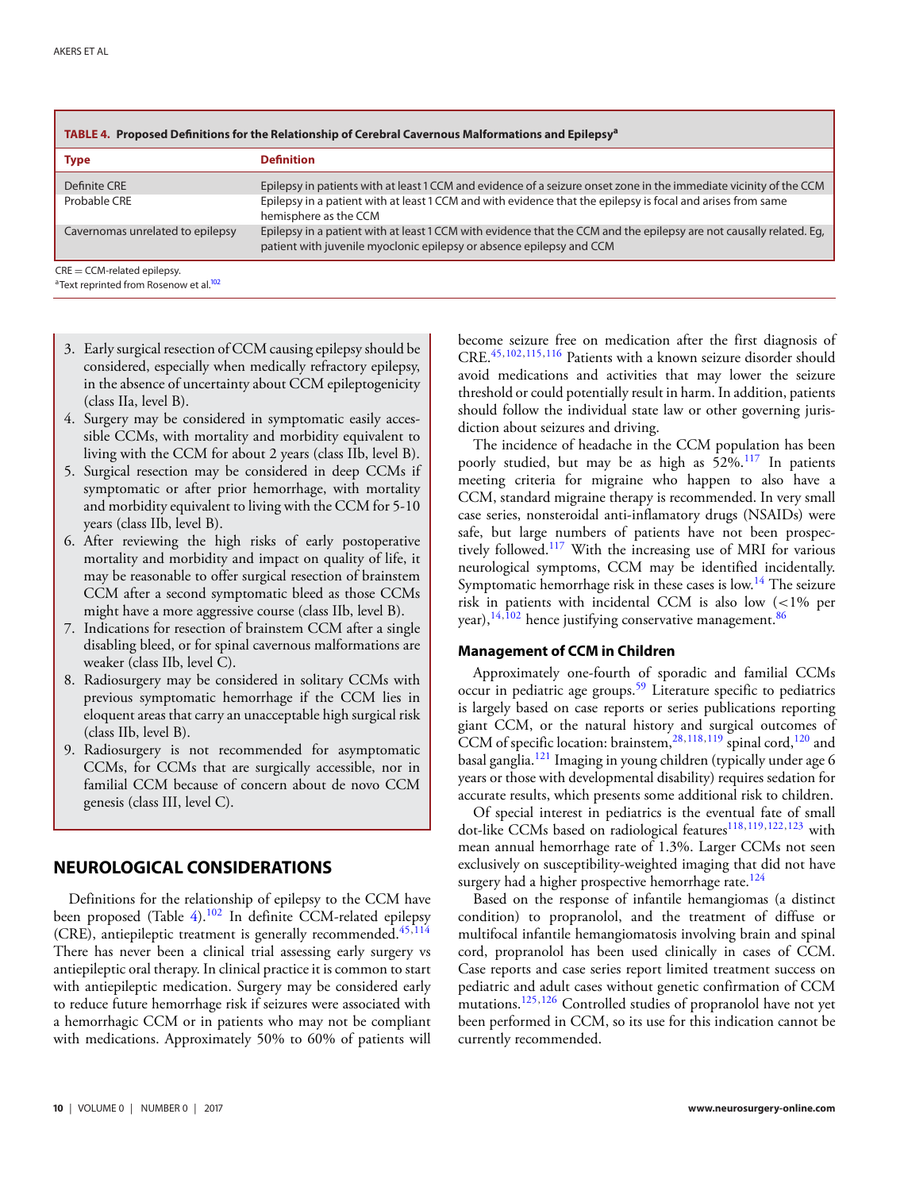<span id="page-9-0"></span>

| <b>Type</b>                      | <b>Definition</b>                                                                                                                                                                           |
|----------------------------------|---------------------------------------------------------------------------------------------------------------------------------------------------------------------------------------------|
| Definite CRE                     | Epilepsy in patients with at least 1 CCM and evidence of a seizure onset zone in the immediate vicinity of the CCM                                                                          |
| Probable CRE                     | Epilepsy in a patient with at least 1 CCM and with evidence that the epilepsy is focal and arises from same<br>hemisphere as the CCM                                                        |
| Cavernomas unrelated to epilepsy | Epilepsy in a patient with at least 1 CCM with evidence that the CCM and the epilepsy are not causally related. Eq.<br>patient with juvenile myoclonic epilepsy or absence epilepsy and CCM |

Text reprinted from Rosenow et al.

- 3. Early surgical resection of CCM causing epilepsy should be considered, especially when medically refractory epilepsy, in the absence of uncertainty about CCM epileptogenicity (class IIa, level B).
- 4. Surgery may be considered in symptomatic easily accessible CCMs, with mortality and morbidity equivalent to living with the CCM for about 2 years (class IIb, level B).
- 5. Surgical resection may be considered in deep CCMs if symptomatic or after prior hemorrhage, with mortality and morbidity equivalent to living with the CCM for 5-10 years (class IIb, level B).
- 6. After reviewing the high risks of early postoperative mortality and morbidity and impact on quality of life, it may be reasonable to offer surgical resection of brainstem CCM after a second symptomatic bleed as those CCMs might have a more aggressive course (class IIb, level B).
- 7. Indications for resection of brainstem CCM after a single disabling bleed, or for spinal cavernous malformations are weaker (class IIb, level C).
- 8. Radiosurgery may be considered in solitary CCMs with previous symptomatic hemorrhage if the CCM lies in eloquent areas that carry an unacceptable high surgical risk (class IIb, level B).
- 9. Radiosurgery is not recommended for asymptomatic CCMs, for CCMs that are surgically accessible, nor in familial CCM because of concern about de novo CCM genesis (class III, level C).

# **NEUROLOGICAL CONSIDERATIONS**

Definitions for the relationship of epilepsy to the CCM have been proposed (Table [4\)](#page-9-0).<sup>[102](#page-13-23)</sup> In definite CCM-related epilepsy (CRE), antiepileptic treatment is generally recommended. $45,114$  $45,114$ There has never been a clinical trial assessing early surgery vs antiepileptic oral therapy. In clinical practice it is common to start with antiepileptic medication. Surgery may be considered early to reduce future hemorrhage risk if seizures were associated with a hemorrhagic CCM or in patients who may not be compliant with medications. Approximately 50% to 60% of patients will

become seizure free on medication after the first diagnosis of CRE.[45,](#page-12-8)[102,](#page-13-23)[115,](#page-13-36)[116](#page-13-37) Patients with a known seizure disorder should avoid medications and activities that may lower the seizure threshold or could potentially result in harm. In addition, patients should follow the individual state law or other governing jurisdiction about seizures and driving.

The incidence of headache in the CCM population has been poorly studied, but may be as high as 52%.[117](#page-13-38) In patients meeting criteria for migraine who happen to also have a CCM, standard migraine therapy is recommended. In very small case series, nonsteroidal anti-inflamatory drugs (NSAIDs) were safe, but large numbers of patients have not been prospectively followed.[117](#page-13-38) With the increasing use of MRI for various neurological symptoms, CCM may be identified incidentally. Symptomatic hemorrhage risk in these cases is low.<sup>14</sup> The seizure risk in patients with incidental CCM is also low (<1% per year),  $14,102$  $14,102$  hence justifying conservative management.  $86$ 

### **Management of CCM in Children**

Approximately one-fourth of sporadic and familial CCMs occur in pediatric age groups.<sup>59</sup> Literature specific to pediatrics is largely based on case reports or series publications reporting giant CCM, or the natural history and surgical outcomes of CCM of specific location: brainstem,  $^{28,118,119}$  $^{28,118,119}$  $^{28,118,119}$  $^{28,118,119}$  $^{28,118,119}$  spinal cord,  $^{120}$  $^{120}$  $^{120}$  and basal ganglia[.121](#page-13-42) Imaging in young children (typically under age 6 years or those with developmental disability) requires sedation for accurate results, which presents some additional risk to children[.](#page-10-0)

Of special interest in pediatrics is the eventual fate of small dot-like CCMs based on radiological features<sup>[118](#page-13-39)[,119,](#page-13-40)[122,](#page-13-43)[123](#page-13-44)</sup> with mean annual hemorrhage rate of 1.3%. Larger CCMs not seen exclusively on susceptibility-weighted imaging that did not have surgery had a higher prospective hemorrhage rate. $124$ 

Based on the response of infantile hemangiomas (a distinct condition) to propranolol, and the treatment of diffuse or multifocal infantile hemangiomatosis involving brain and spinal cord, propranolol has been used clinically in cases of CCM. Case reports and case series report limited treatment success on pediatric and adult cases without genetic confirmation of CCM mutations.<sup>125,[126](#page-14-2)</sup> Controlled studies of propranolol have not yet been performed in CCM, so its use for this indication cannot be currently recommended.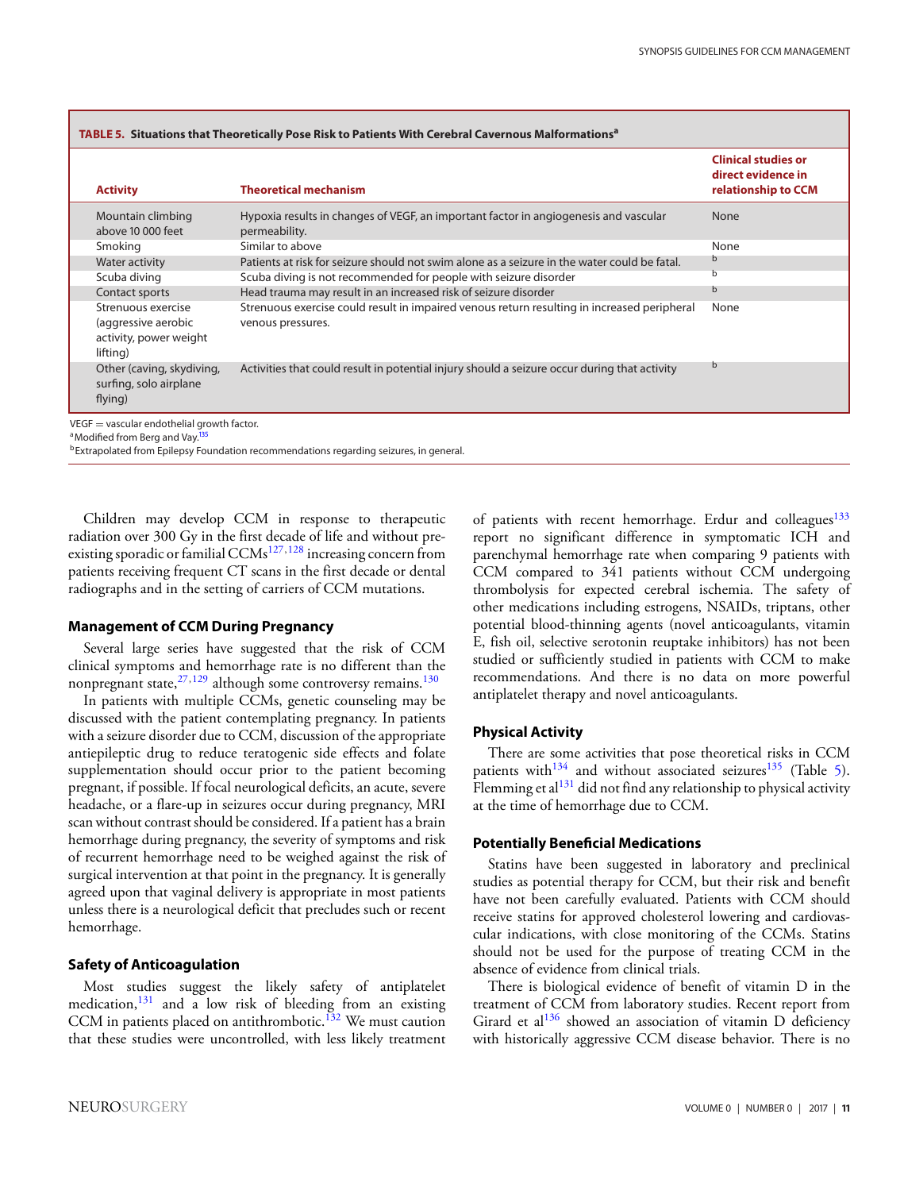<span id="page-10-0"></span>

| TABLE 5. Situations that Theoretically Pose Risk to Patients With Cerebral Cavernous Malformations <sup>a</sup> |                                                                                                         |                                                                                                                  |                                                                         |  |  |  |  |
|-----------------------------------------------------------------------------------------------------------------|---------------------------------------------------------------------------------------------------------|------------------------------------------------------------------------------------------------------------------|-------------------------------------------------------------------------|--|--|--|--|
|                                                                                                                 | <b>Activity</b>                                                                                         | <b>Theoretical mechanism</b>                                                                                     | <b>Clinical studies or</b><br>direct evidence in<br>relationship to CCM |  |  |  |  |
|                                                                                                                 | Mountain climbing<br>above 10 000 feet                                                                  | Hypoxia results in changes of VEGF, an important factor in angiogenesis and vascular<br>permeability.            | <b>None</b>                                                             |  |  |  |  |
|                                                                                                                 | Smoking                                                                                                 | Similar to above                                                                                                 | None                                                                    |  |  |  |  |
|                                                                                                                 | <b>Water activity</b>                                                                                   | Patients at risk for seizure should not swim alone as a seizure in the water could be fatal.                     |                                                                         |  |  |  |  |
|                                                                                                                 | Scuba diving                                                                                            | Scuba diving is not recommended for people with seizure disorder                                                 | b                                                                       |  |  |  |  |
|                                                                                                                 | Contact sports                                                                                          | Head trauma may result in an increased risk of seizure disorder                                                  | b                                                                       |  |  |  |  |
|                                                                                                                 | Strenuous exercise<br>(aggressive aerobic<br>activity, power weight<br>lifting)                         | Strenuous exercise could result in impaired venous return resulting in increased peripheral<br>venous pressures. | None                                                                    |  |  |  |  |
|                                                                                                                 | Other (caving, skydiving,<br>surfing, solo airplane<br>flying)                                          | Activities that could result in potential injury should a seizure occur during that activity                     | b                                                                       |  |  |  |  |
|                                                                                                                 | $VEGF = vascular$ endothelial growth factor.<br><sup>a</sup> Modified from Berg and Vay. <sup>135</sup> |                                                                                                                  |                                                                         |  |  |  |  |

bExtrapolated from Epilepsy Foundation recommendations regarding seizures, in general.

Children may develop CCM in response to therapeutic radiation over 300 Gy in the first decade of life and without preexisting sporadic or familial  $CCMs^{127,128}$  $CCMs^{127,128}$  $CCMs^{127,128}$  increasing concern from patients receiving frequent CT scans in the first decade or dental radiographs and in the setting of carriers of CCM mutations.

### **Management of CCM During Pregnancy**

Several large series have suggested that the risk of CCM clinical symptoms and hemorrhage rate is no different than the nonpregnant state, $27,129$  $27,129$  although some controversy remains.<sup>130</sup>

In patients with multiple CCMs, genetic counseling may be discussed with the patient contemplating pregnancy. In patients with a seizure disorder due to CCM, discussion of the appropriate antiepileptic drug to reduce teratogenic side effects and folate supplementation should occur prior to the patient becoming pregnant, if possible. If focal neurological deficits, an acute, severe headache, or a flare-up in seizures occur during pregnancy, MRI scan without contrast should be considered. If a patient has a brain hemorrhage during pregnancy, the severity of symptoms and risk of recurrent hemorrhage need to be weighed against the risk of surgical intervention at that point in the pregnancy. It is generally agreed upon that vaginal delivery is appropriate in most patients unless there is a neurological deficit that precludes such or recent hemorrhage.

### **Safety of Anticoagulation**

Most studies suggest the likely safety of antiplatelet medication,  $131$  and a low risk of bleeding from an existing CCM in patients placed on antithrombotic.<sup>132</sup> We must caution that these studies were uncontrolled, with less likely treatment of patients with recent hemorrhage. Erdur and colleagues $133$ report no significant difference in symptomatic ICH and parenchymal hemorrhage rate when comparing 9 patients with CCM compared to 341 patients without CCM undergoing thrombolysis for expected cerebral ischemia. The safety of other medications including estrogens, NSAIDs, triptans, other potential blood-thinning agents (novel anticoagulants, vitamin E, fish oil, selective serotonin reuptake inhibitors) has not been studied or sufficiently studied in patients with CCM to make recommendations. And there is no data on more powerful antiplatelet therapy and novel anticoagulants.

### **Physical Activity**

There are some activities that pose theoretical risks in CCM patients with<sup>134</sup> and without associated seizures<sup>135</sup> (Table [5\)](#page-10-0). Flemming et al<sup>131</sup> did not find any relationship to physical activity at the time of hemorrhage due to CCM.

#### **Potentially Beneficial Medications**

Statins have been suggested in laboratory and preclinical studies as potential therapy for CCM, but their risk and benefit have not been carefully evaluated. Patients with CCM should receive statins for approved cholesterol lowering and cardiovascular indications, with close monitoring of the CCMs. Statins should not be used for the purpose of treating CCM in the absence of evidence from clinical trials.

There is biological evidence of benefit of vitamin D in the treatment of CCM from laboratory studies. Recent report from Girard et al $136$  showed an association of vitamin D deficiency with historically aggressive CCM disease behavior. There is no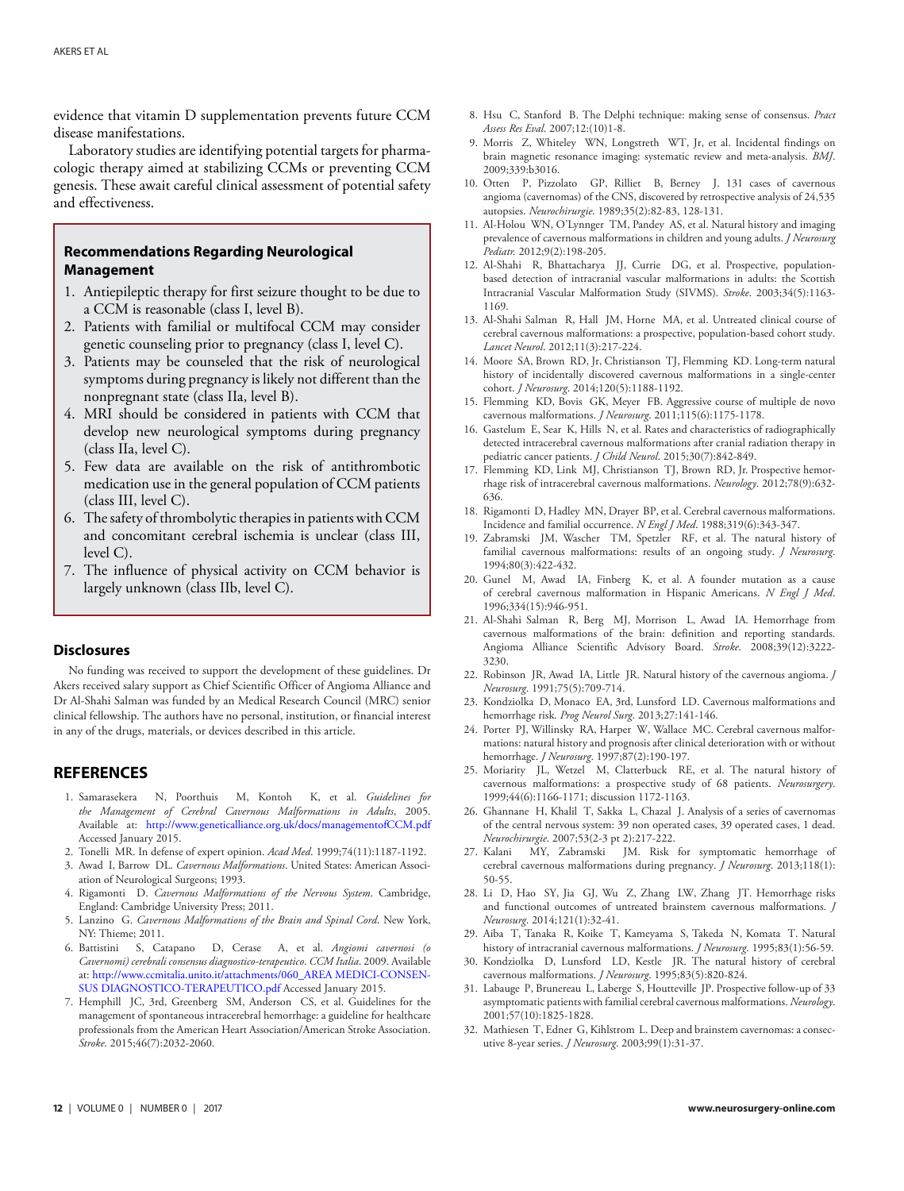evidence that vitamin D supplementation prevents future CCM disease manifestations.

Laboratory studies are identifying potential targets for pharmacologic therapy aimed at stabilizing CCMs or preventing CCM genesis. These await careful clinical assessment of potential safety and effectiveness.

# **Recommendations Regarding Neurological Management**

- 1. Antiepileptic therapy for first seizure thought to be due to a CCM is reasonable (class I, level B).
- 2. Patients with familial or multifocal CCM may consider genetic counseling prior to pregnancy (class I, level C).
- 3. Patients may be counseled that the risk of neurological symptoms during pregnancy is likely not different than the nonpregnant state (class IIa, level B).
- 4. MRI should be considered in patients with CCM that develop new neurological symptoms during pregnancy (class IIa, level C).
- 5. Few data are available on the risk of antithrombotic medication use in the general population of CCM patients (class III, level C).
- 6. The safety of thrombolytic therapies in patients with CCM and concomitant cerebral ischemia is unclear (class III, level C).
- 7. The influence of physical activity on CCM behavior is largely unknown (class IIb, level C).

#### **Disclosures**

No funding was received to support the development of these guidelines. Dr Akers received salary support as Chief Scientific Officer of Angioma Alliance and Dr Al-Shahi Salman was funded by an Medical Research Council (MRC) senior clinical fellowship. The authors have no personal, institution, or financial interest in any of the drugs, materials, or devices described in this article.

### **REFERENCES**

- <span id="page-11-0"></span>1. Samarasekera N, Poorthuis M, Kontoh K, et al. *Guidelines for the Management of Cerebral Cavernous Malformations in Adults*, 2005. Available at: <http://www.geneticalliance.org.uk/docs/managementofCCM.pdf> Accessed January 2015.
- <span id="page-11-1"></span>2. Tonelli MR. In defense of expert opinion. *Acad Med*. 1999;74(11):1187-1192.
- <span id="page-11-2"></span>3. Awad I, Barrow DL. *Cavernous Malformations*. United States: American Association of Neurological Surgeons; 1993.
- 4. Rigamonti D. *Cavernous Malformations of the Nervous System*. Cambridge, England: Cambridge University Press; 2011.
- <span id="page-11-3"></span>5. Lanzino G. *Cavernous Malformations of the Brain and Spinal Cord*. New York, NY: Thieme; 2011.
- <span id="page-11-4"></span>6. Battistini S, Catapano D, Cerase A, et al. *Angiomi cavernosi (o Cavernomi) cerebrali consensus diagnostico-terapeutico*. *CCM Italia*. 2009. Available at: [http://www.ccmitalia.unito.it/attachments/060\\_AREA MEDICI-CONSEN-](http://www.ccmitalia.unito.it/attachments/060_AREA MEDICI-CONSENSUS DIAGNOSTICO-TERAPEUTICO.pdf)[SUS DIAGNOSTICO-TERAPEUTICO.pdf](http://www.ccmitalia.unito.it/attachments/060_AREA MEDICI-CONSENSUS DIAGNOSTICO-TERAPEUTICO.pdf) Accessed January 2015.
- <span id="page-11-5"></span>7. Hemphill JC, 3rd, Greenberg SM, Anderson CS, et al. Guidelines for the management of spontaneous intracerebral hemorrhage: a guideline for healthcare professionals from the American Heart Association/American Stroke Association. *Stroke*. 2015;46(7):2032-2060.
- <span id="page-11-6"></span>8. Hsu C, Stanford B. The Delphi technique: making sense of consensus. *Pract Assess Res Eval*. 2007;12:(10)1-8.
- <span id="page-11-7"></span>9. Morris Z, Whiteley WN, Longstreth WT, Jr, et al. Incidental findings on brain magnetic resonance imaging: systematic review and meta-analysis. *BMJ*. 2009;339:b3016.
- <span id="page-11-8"></span>10. Otten P, Pizzolato GP, Rilliet B, Berney J. 131 cases of cavernous angioma (cavernomas) of the CNS, discovered by retrospective analysis of 24,535 autopsies. *Neurochirurgie*. 1989;35(2):82-83, 128-131.
- <span id="page-11-9"></span>11. Al-Holou WN, O'Lynnger TM, Pandey AS, et al. Natural history and imaging prevalence of cavernous malformations in children and young adults. *J Neurosurg Pediatr.* 2012;9(2):198-205.
- <span id="page-11-10"></span>12. Al-Shahi R, Bhattacharya JJ, Currie DG, et al. Prospective, populationbased detection of intracranial vascular malformations in adults: the Scottish Intracranial Vascular Malformation Study (SIVMS). *Stroke*. 2003;34(5):1163- 1169.
- <span id="page-11-11"></span>13. Al-Shahi Salman R, Hall JM, Horne MA, et al. Untreated clinical course of cerebral cavernous malformations: a prospective, population-based cohort study. *Lancet Neurol*. 2012;11(3):217-224.
- <span id="page-11-12"></span>14. Moore SA, Brown RD, Jr, Christianson TJ, Flemming KD. Long-term natural history of incidentally discovered cavernous malformations in a single-center cohort. *J Neurosurg*. 2014;120(5):1188-1192.
- <span id="page-11-13"></span>15. Flemming KD, Bovis GK, Meyer FB. Aggressive course of multiple de novo cavernous malformations. *J Neurosurg*. 2011;115(6):1175-1178.
- <span id="page-11-14"></span>16. Gastelum E, Sear K, Hills N, et al. Rates and characteristics of radiographically detected intracerebral cavernous malformations after cranial radiation therapy in pediatric cancer patients. *J Child Neurol*. 2015;30(7):842-849.
- <span id="page-11-15"></span>17. Flemming KD, Link MJ, Christianson TJ, Brown RD, Jr. Prospective hemorrhage risk of intracerebral cavernous malformations. *Neurology*. 2012;78(9):632- 636.
- <span id="page-11-16"></span>18. Rigamonti D, Hadley MN, Drayer BP, et al. Cerebral cavernous malformations. Incidence and familial occurrence. *N Engl J Med*. 1988;319(6):343-347.
- <span id="page-11-17"></span>19. Zabramski JM, Wascher TM, Spetzler RF, et al. The natural history of familial cavernous malformations: results of an ongoing study. *J Neurosurg*. 1994;80(3):422-432.
- <span id="page-11-18"></span>20. Gunel M, Awad IA, Finberg K, et al. A founder mutation as a cause of cerebral cavernous malformation in Hispanic Americans. *N Engl J Med*. 1996;334(15):946-951.
- <span id="page-11-19"></span>21. Al-Shahi Salman R, Berg MJ, Morrison L, Awad IA. Hemorrhage from cavernous malformations of the brain: definition and reporting standards. Angioma Alliance Scientific Advisory Board. *Stroke*. 2008;39(12):3222- 3230.
- <span id="page-11-20"></span>22. Robinson JR, Awad IA, Little JR. Natural history of the cavernous angioma. *J Neurosurg*. 1991;75(5):709-714.
- 23. Kondziolka D, Monaco EA, 3rd, Lunsford LD. Cavernous malformations and hemorrhage risk. *Prog Neurol Surg*. 2013;27:141-146.
- 24. Porter PJ, Willinsky RA, Harper W, Wallace MC. Cerebral cavernous malformations: natural history and prognosis after clinical deterioration with or without hemorrhage. *J Neurosurg*. 1997;87(2):190-197.
- 25. Moriarity JL, Wetzel M, Clatterbuck RE, et al. The natural history of cavernous malformations: a prospective study of 68 patients. *Neurosurgery*. 1999;44(6):1166-1171; discussion 1172-1163.
- 26. Ghannane H, Khalil T, Sakka L, Chazal J. Analysis of a series of cavernomas of the central nervous system: 39 non operated cases, 39 operated cases, 1 dead. *Neurochirurgie*. 2007;53(2-3 pt 2):217-222.
- <span id="page-11-25"></span>27. Kalani MY, Zabramski JM. Risk for symptomatic hemorrhage of cerebral cavernous malformations during pregnancy. *J Neurosurg*. 2013;118(1): 50-55.
- <span id="page-11-21"></span>28. Li D, Hao SY, Jia GJ, Wu Z, Zhang LW, Zhang JT. Hemorrhage risks and functional outcomes of untreated brainstem cavernous malformations. *J Neurosurg*. 2014;121(1):32-41.
- 29. Aiba T, Tanaka R, Koike T, Kameyama S, Takeda N, Komata T. Natural history of intracranial cavernous malformations. *J Neurosurg*. 1995;83(1):56-59.
- <span id="page-11-23"></span>30. Kondziolka D, Lunsford LD, Kestle JR. The natural history of cerebral cavernous malformations. *J Neurosurg*. 1995;83(5):820-824.
- <span id="page-11-24"></span>31. Labauge P, Brunereau L, Laberge S, Houtteville JP. Prospective follow-up of 33 asymptomatic patients with familial cerebral cavernous malformations. *Neurology*. 2001;57(10):1825-1828.
- <span id="page-11-22"></span>32. Mathiesen T, Edner G, Kihlstrom L. Deep and brainstem cavernomas: a consecutive 8-year series. *J Neurosurg*. 2003;99(1):31-37.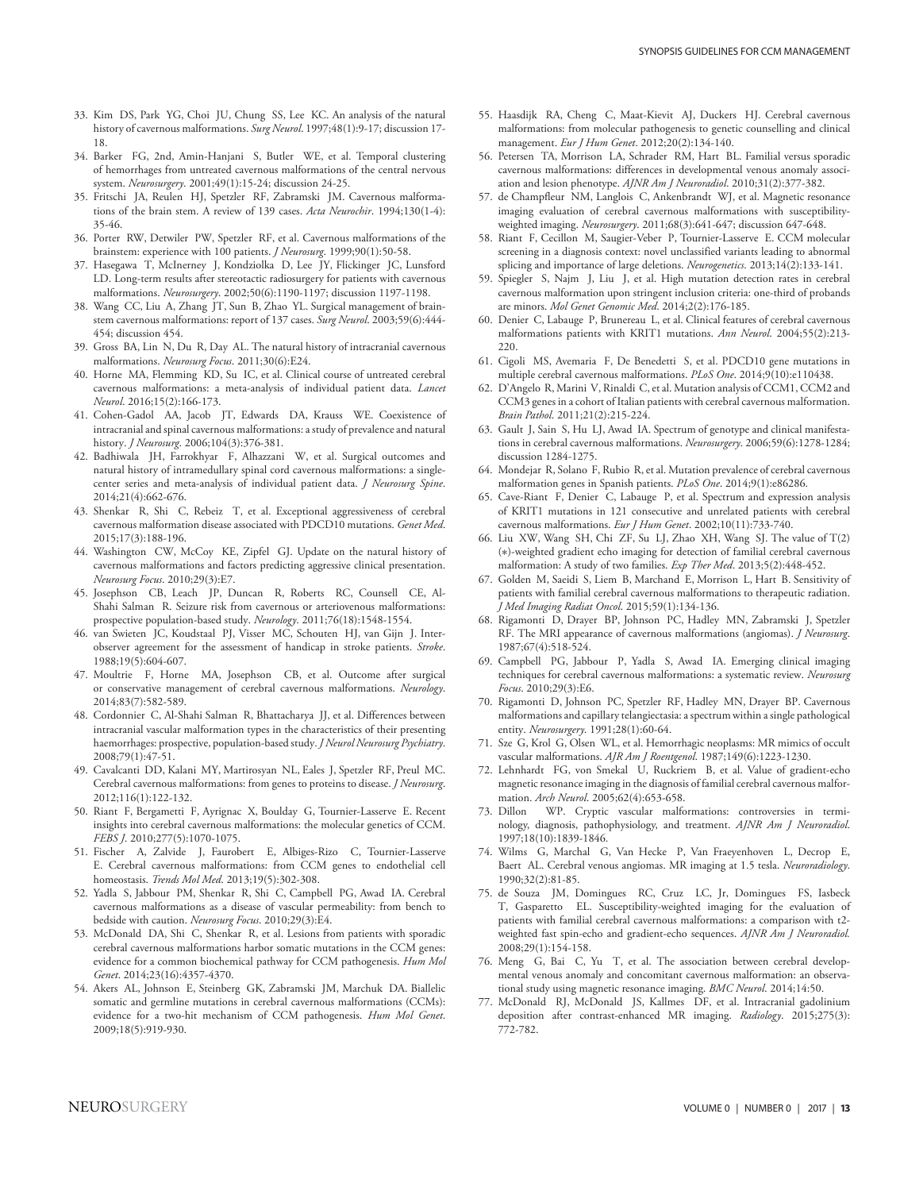- 33. Kim DS, Park YG, Choi JU, Chung SS, Lee KC. An analysis of the natural history of cavernous malformations. *Surg Neurol*. 1997;48(1):9-17; discussion 17- 18.
- 34. Barker FG, 2nd, Amin-Hanjani S, Butler WE, et al. Temporal clustering of hemorrhages from untreated cavernous malformations of the central nervous system. *Neurosurgery*. 2001;49(1):15-24; discussion 24-25.
- <span id="page-12-3"></span>35. Fritschi JA, Reulen HJ, Spetzler RF, Zabramski JM. Cavernous malformations of the brain stem. A review of 139 cases. *Acta Neurochir*. 1994;130(1-4): 35-46.
- 36. Porter RW, Detwiler PW, Spetzler RF, et al. Cavernous malformations of the brainstem: experience with 100 patients. *J Neurosurg*. 1999;90(1):50-58.
- 37. Hasegawa T, McInerney J, Kondziolka D, Lee JY, Flickinger JC, Lunsford LD. Long-term results after stereotactic radiosurgery for patients with cavernous malformations. *Neurosurgery*. 2002;50(6):1190-1197; discussion 1197-1198.
- <span id="page-12-0"></span>38. Wang CC, Liu A, Zhang JT, Sun B, Zhao YL. Surgical management of brainstem cavernous malformations: report of 137 cases. *Surg Neurol*. 2003;59(6):444- 454; discussion 454.
- <span id="page-12-1"></span>39. Gross BA, Lin N, Du R, Day AL. The natural history of intracranial cavernous malformations. *Neurosurg Focus*. 2011;30(6):E24.
- <span id="page-12-2"></span>40. Horne MA, Flemming KD, Su IC, et al. Clinical course of untreated cerebral cavernous malformations: a meta-analysis of individual patient data. *Lancet Neurol*. 2016;15(2):166-173.
- <span id="page-12-4"></span>41. Cohen-Gadol AA, Jacob JT, Edwards DA, Krauss WE. Coexistence of intracranial and spinal cavernous malformations: a study of prevalence and natural history. *J Neurosurg*. 2006;104(3):376-381.
- <span id="page-12-5"></span>42. Badhiwala JH, Farrokhyar F, Alhazzani W, et al. Surgical outcomes and natural history of intramedullary spinal cord cavernous malformations: a singlecenter series and meta-analysis of individual patient data. *J Neurosurg Spine*. 2014;21(4):662-676.
- <span id="page-12-6"></span>43. Shenkar R, Shi C, Rebeiz T, et al. Exceptional aggressiveness of cerebral cavernous malformation disease associated with PDCD10 mutations. *Genet Med*. 2015;17(3):188-196.
- <span id="page-12-7"></span>44. Washington CW, McCoy KE, Zipfel GJ. Update on the natural history of cavernous malformations and factors predicting aggressive clinical presentation. *Neurosurg Focus*. 2010;29(3):E7.
- <span id="page-12-8"></span>45. Josephson CB, Leach JP, Duncan R, Roberts RC, Counsell CE, Al-Shahi Salman R. Seizure risk from cavernous or arteriovenous malformations: prospective population-based study. *Neurology*. 2011;76(18):1548-1554.
- <span id="page-12-9"></span>46. van Swieten JC, Koudstaal PJ, Visser MC, Schouten HJ, van Gijn J. Interobserver agreement for the assessment of handicap in stroke patients. *Stroke*. 1988;19(5):604-607.
- <span id="page-12-10"></span>47. Moultrie F, Horne MA, Josephson CB, et al. Outcome after surgical or conservative management of cerebral cavernous malformations. *Neurology*. 2014;83(7):582-589.
- <span id="page-12-11"></span>48. Cordonnier C, Al-Shahi Salman R, Bhattacharya JJ, et al. Differences between intracranial vascular malformation types in the characteristics of their presenting haemorrhages: prospective, population-based study. *J Neurol Neurosurg Psychiatry*. 2008;79(1):47-51.
- <span id="page-12-12"></span>49. Cavalcanti DD, Kalani MY, Martirosyan NL, Eales J, Spetzler RF, Preul MC. Cerebral cavernous malformations: from genes to proteins to disease. *J Neurosurg*. 2012;116(1):122-132.
- <span id="page-12-13"></span>50. Riant F, Bergametti F, Ayrignac X, Boulday G, Tournier-Lasserve E. Recent insights into cerebral cavernous malformations: the molecular genetics of CCM. *FEBS J*. 2010;277(5):1070-1075.
- <span id="page-12-14"></span>51. Fischer A, Zalvide J, Faurobert E, Albiges-Rizo C, Tournier-Lasserve E. Cerebral cavernous malformations: from CCM genes to endothelial cell homeostasis. *Trends Mol Med*. 2013;19(5):302-308.
- <span id="page-12-15"></span>52. Yadla S, Jabbour PM, Shenkar R, Shi C, Campbell PG, Awad IA. Cerebral cavernous malformations as a disease of vascular permeability: from bench to bedside with caution. *Neurosurg Focus*. 2010;29(3):E4.
- <span id="page-12-16"></span>53. McDonald DA, Shi C, Shenkar R, et al. Lesions from patients with sporadic cerebral cavernous malformations harbor somatic mutations in the CCM genes: evidence for a common biochemical pathway for CCM pathogenesis. *Hum Mol Genet*. 2014;23(16):4357-4370.
- <span id="page-12-17"></span>54. Akers AL, Johnson E, Steinberg GK, Zabramski JM, Marchuk DA. Biallelic somatic and germline mutations in cerebral cavernous malformations (CCMs): evidence for a two-hit mechanism of CCM pathogenesis. *Hum Mol Genet*. 2009;18(5):919-930.
- <span id="page-12-18"></span>55. Haasdijk RA, Cheng C, Maat-Kievit AJ, Duckers HJ. Cerebral cavernous malformations: from molecular pathogenesis to genetic counselling and clinical management. *Eur J Hum Genet*. 2012;20(2):134-140.
- <span id="page-12-19"></span>56. Petersen TA, Morrison LA, Schrader RM, Hart BL. Familial versus sporadic cavernous malformations: differences in developmental venous anomaly association and lesion phenotype. *AJNR Am J Neuroradiol*. 2010;31(2):377-382.
- <span id="page-12-20"></span>57. de Champfleur NM, Langlois C, Ankenbrandt WJ, et al. Magnetic resonance imaging evaluation of cerebral cavernous malformations with susceptibilityweighted imaging. *Neurosurgery*. 2011;68(3):641-647; discussion 647-648.
- <span id="page-12-21"></span>58. Riant F, Cecillon M, Saugier-Veber P, Tournier-Lasserve E. CCM molecular screening in a diagnosis context: novel unclassified variants leading to abnormal splicing and importance of large deletions. *Neurogenetics*. 2013;14(2):133-141.
- <span id="page-12-22"></span>59. Spiegler S, Najm J, Liu J, et al. High mutation detection rates in cerebral cavernous malformation upon stringent inclusion criteria: one-third of probands are minors. *Mol Genet Genomic Med*. 2014;2(2):176-185.
- 60. Denier C, Labauge P, Brunereau L, et al. Clinical features of cerebral cavernous malformations patients with KRIT1 mutations. *Ann Neurol*. 2004;55(2):213- 220.
- <span id="page-12-23"></span>61. Cigoli MS, Avemaria F, De Benedetti S, et al. PDCD10 gene mutations in multiple cerebral cavernous malformations. *PLoS One*. 2014;9(10):e110438.
- <span id="page-12-24"></span>62. D'Angelo R, Marini V, Rinaldi C, et al. Mutation analysis of CCM1, CCM2 and CCM3 genes in a cohort of Italian patients with cerebral cavernous malformation. *Brain Pathol*. 2011;21(2):215-224.
- <span id="page-12-27"></span>63. Gault J, Sain S, Hu LJ, Awad IA. Spectrum of genotype and clinical manifestations in cerebral cavernous malformations. *Neurosurgery*. 2006;59(6):1278-1284; discussion 1284-1275.
- <span id="page-12-25"></span>64. Mondejar R, Solano F, Rubio R, et al. Mutation prevalence of cerebral cavernous malformation genes in Spanish patients. *PLoS One*. 2014;9(1):e86286.
- <span id="page-12-26"></span>65. Cave-Riant F, Denier C, Labauge P, et al. Spectrum and expression analysis of KRIT1 mutations in 121 consecutive and unrelated patients with cerebral cavernous malformations. *Eur J Hum Genet*. 2002;10(11):733-740.
- <span id="page-12-28"></span>66. Liu XW, Wang SH, Chi ZF, Su LJ, Zhao XH, Wang SJ. The value of T(2) (∗)-weighted gradient echo imaging for detection of familial cerebral cavernous malformation: A study of two families. *Exp Ther Med*. 2013;5(2):448-452.
- <span id="page-12-29"></span>67. Golden M, Saeidi S, Liem B, Marchand E, Morrison L, Hart B. Sensitivity of patients with familial cerebral cavernous malformations to therapeutic radiation. *J Med Imaging Radiat Oncol*. 2015;59(1):134-136.
- <span id="page-12-30"></span>68. Rigamonti D, Drayer BP, Johnson PC, Hadley MN, Zabramski J, Spetzler RF. The MRI appearance of cavernous malformations (angiomas). *J Neurosurg*. 1987;67(4):518-524.
- <span id="page-12-31"></span>69. Campbell PG, Jabbour P, Yadla S, Awad IA. Emerging clinical imaging techniques for cerebral cavernous malformations: a systematic review. *Neurosurg Focus*. 2010;29(3):E6.
- <span id="page-12-32"></span>70. Rigamonti D, Johnson PC, Spetzler RF, Hadley MN, Drayer BP. Cavernous malformations and capillary telangiectasia: a spectrum within a single pathological entity. *Neurosurgery*. 1991;28(1):60-64.
- <span id="page-12-33"></span>71. Sze G, Krol G, Olsen WL, et al. Hemorrhagic neoplasms: MR mimics of occult vascular malformations. *AJR Am J Roentgenol*. 1987;149(6):1223-1230.
- <span id="page-12-34"></span>72. Lehnhardt FG, von Smekal U, Ruckriem B, et al. Value of gradient-echo magnetic resonance imaging in the diagnosis of familial cerebral cavernous malformation. *Arch Neurol*. 2005;62(4):653-658.
- <span id="page-12-35"></span>73. Dillon WP. Cryptic vascular malformations: controversies in terminology, diagnosis, pathophysiology, and treatment. *AJNR Am J Neuroradiol*. 1997;18(10):1839-1846.
- <span id="page-12-36"></span>74. Wilms G, Marchal G, Van Hecke P, Van Fraeyenhoven L, Decrop E, Baert AL. Cerebral venous angiomas. MR imaging at 1.5 tesla. *Neuroradiology*. 1990;32(2):81-85.
- <span id="page-12-37"></span>75. de Souza JM, Domingues RC, Cruz LC, Jr, Domingues FS, Iasbeck T, Gasparetto EL. Susceptibility-weighted imaging for the evaluation of patients with familial cerebral cavernous malformations: a comparison with t2 weighted fast spin-echo and gradient-echo sequences. *AJNR Am J Neuroradiol.* 2008;29(1):154-158.
- <span id="page-12-38"></span>76. Meng G, Bai C, Yu T, et al. The association between cerebral developmental venous anomaly and concomitant cavernous malformation: an observational study using magnetic resonance imaging. *BMC Neurol*. 2014;14:50.
- <span id="page-12-39"></span>77. McDonald RJ, McDonald JS, Kallmes DF, et al. Intracranial gadolinium deposition after contrast-enhanced MR imaging. *Radiology*. 2015;275(3): 772-782.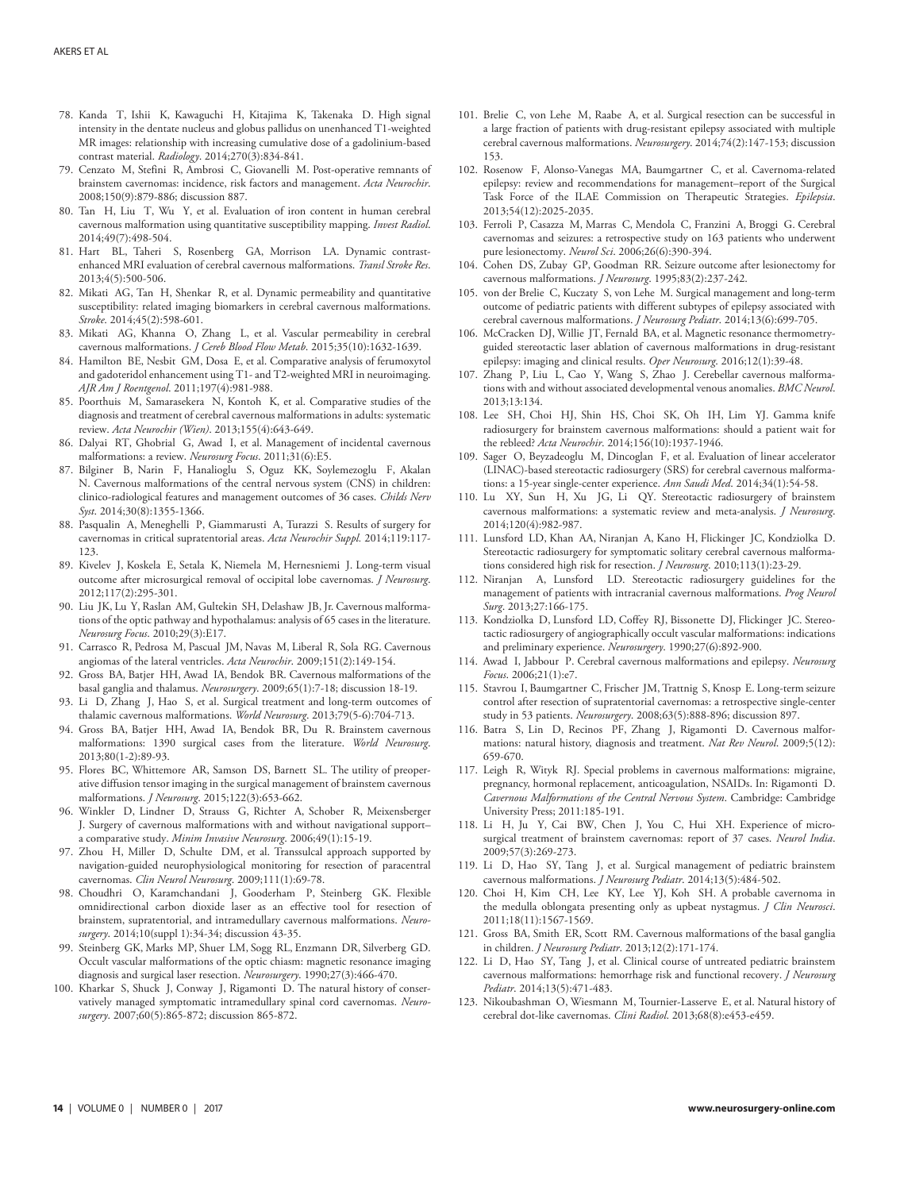- <span id="page-13-0"></span>78. Kanda T, Ishii K, Kawaguchi H, Kitajima K, Takenaka D. High signal intensity in the dentate nucleus and globus pallidus on unenhanced T1-weighted MR images: relationship with increasing cumulative dose of a gadolinium-based contrast material. *Radiology*. 2014;270(3):834-841.
- <span id="page-13-1"></span>79. Cenzato M, Stefini R, Ambrosi C, Giovanelli M. Post-operative remnants of brainstem cavernomas: incidence, risk factors and management. *Acta Neurochir*. 2008;150(9):879-886; discussion 887.
- <span id="page-13-2"></span>80. Tan H, Liu T, Wu Y, et al. Evaluation of iron content in human cerebral cavernous malformation using quantitative susceptibility mapping. *Invest Radiol*. 2014;49(7):498-504.
- <span id="page-13-3"></span>81. Hart BL, Taheri S, Rosenberg GA, Morrison LA. Dynamic contrastenhanced MRI evaluation of cerebral cavernous malformations. *Transl Stroke Res*. 2013;4(5):500-506.
- 82. Mikati AG, Tan H, Shenkar R, et al. Dynamic permeability and quantitative susceptibility: related imaging biomarkers in cerebral cavernous malformations. *Stroke*. 2014;45(2):598-601.
- <span id="page-13-4"></span>83. Mikati AG, Khanna O, Zhang L, et al. Vascular permeability in cerebral cavernous malformations. *J Cereb Blood Flow Metab*. 2015;35(10):1632-1639.
- <span id="page-13-5"></span>84. Hamilton BE, Nesbit GM, Dosa E, et al. Comparative analysis of ferumoxytol and gadoteridol enhancement using T1- and T2-weighted MRI in neuroimaging. *AJR Am J Roentgenol*. 2011;197(4):981-988.
- <span id="page-13-6"></span>85. Poorthuis M, Samarasekera N, Kontoh K, et al. Comparative studies of the diagnosis and treatment of cerebral cavernous malformations in adults: systematic review. *Acta Neurochir (Wien)*. 2013;155(4):643-649.
- <span id="page-13-7"></span>86. Dalyai RT, Ghobrial G, Awad I, et al. Management of incidental cavernous malformations: a review. *Neurosurg Focus*. 2011;31(6):E5.
- <span id="page-13-8"></span>87. Bilginer B, Narin F, Hanalioglu S, Oguz KK, Soylemezoglu F, Akalan N. Cavernous malformations of the central nervous system (CNS) in children: clinico-radiological features and management outcomes of 36 cases. *Childs Nerv Syst*. 2014;30(8):1355-1366.
- <span id="page-13-9"></span>88. Pasqualin A, Meneghelli P, Giammarusti A, Turazzi S. Results of surgery for cavernomas in critical supratentorial areas. *Acta Neurochir Suppl.* 2014;119:117- 123.
- <span id="page-13-10"></span>89. Kivelev J, Koskela E, Setala K, Niemela M, Hernesniemi J. Long-term visual outcome after microsurgical removal of occipital lobe cavernomas. *J Neurosurg*. 2012;117(2):295-301.
- <span id="page-13-11"></span>90. Liu JK, Lu Y, Raslan AM, Gultekin SH, Delashaw JB, Jr. Cavernous malformations of the optic pathway and hypothalamus: analysis of 65 cases in the literature. *Neurosurg Focus*. 2010;29(3):E17.
- <span id="page-13-12"></span>91. Carrasco R, Pedrosa M, Pascual JM, Navas M, Liberal R, Sola RG. Cavernous angiomas of the lateral ventricles. *Acta Neurochir*. 2009;151(2):149-154.
- <span id="page-13-13"></span>92. Gross BA, Batjer HH, Awad IA, Bendok BR. Cavernous malformations of the basal ganglia and thalamus. *Neurosurgery*. 2009;65(1):7-18; discussion 18-19.
- <span id="page-13-14"></span>93. Li D, Zhang J, Hao S, et al. Surgical treatment and long-term outcomes of thalamic cavernous malformations. *World Neurosurg*. 2013;79(5-6):704-713.
- <span id="page-13-15"></span>94. Gross BA, Batjer HH, Awad IA, Bendok BR, Du R. Brainstem cavernous malformations: 1390 surgical cases from the literature. *World Neurosurg*. 2013;80(1-2):89-93.
- <span id="page-13-16"></span>95. Flores BC, Whittemore AR, Samson DS, Barnett SL. The utility of preoperative diffusion tensor imaging in the surgical management of brainstem cavernous malformations. *J Neurosurg*. 2015;122(3):653-662.
- <span id="page-13-17"></span>96. Winkler D, Lindner D, Strauss G, Richter A, Schober R, Meixensberger J. Surgery of cavernous malformations with and without navigational support– a comparative study. *Minim Invasive Neurosurg*. 2006;49(1):15-19.
- <span id="page-13-18"></span>97. Zhou H, Miller D, Schulte DM, et al. Transsulcal approach supported by navigation-guided neurophysiological monitoring for resection of paracentral cavernomas. *Clin Neurol Neurosurg*. 2009;111(1):69-78.
- <span id="page-13-19"></span>98. Choudhri O, Karamchandani J, Gooderham P, Steinberg GK. Flexible omnidirectional carbon dioxide laser as an effective tool for resection of brainstem, supratentorial, and intramedullary cavernous malformations. *Neurosurgery*. 2014;10(suppl 1):34-34; discussion 43-35.
- <span id="page-13-20"></span>99. Steinberg GK, Marks MP, Shuer LM, Sogg RL, Enzmann DR, Silverberg GD. Occult vascular malformations of the optic chiasm: magnetic resonance imaging diagnosis and surgical laser resection. *Neurosurgery*. 1990;27(3):466-470.
- <span id="page-13-21"></span>100. Kharkar S, Shuck J, Conway J, Rigamonti D. The natural history of conservatively managed symptomatic intramedullary spinal cord cavernomas. *Neurosurgery*. 2007;60(5):865-872; discussion 865-872.
- <span id="page-13-22"></span>101. Brelie C, von Lehe M, Raabe A, et al. Surgical resection can be successful in a large fraction of patients with drug-resistant epilepsy associated with multiple cerebral cavernous malformations. *Neurosurgery*. 2014;74(2):147-153; discussion 153.
- <span id="page-13-23"></span>102. Rosenow F, Alonso-Vanegas MA, Baumgartner C, et al. Cavernoma-related epilepsy: review and recommendations for management–report of the Surgical Task Force of the ILAE Commission on Therapeutic Strategies. *Epilepsia*. 2013;54(12):2025-2035.
- <span id="page-13-24"></span>103. Ferroli P, Casazza M, Marras C, Mendola C, Franzini A, Broggi G. Cerebral cavernomas and seizures: a retrospective study on 163 patients who underwent pure lesionectomy. *Neurol Sci*. 2006;26(6):390-394.
- <span id="page-13-25"></span>104. Cohen DS, Zubay GP, Goodman RR. Seizure outcome after lesionectomy for cavernous malformations. *J Neurosurg*. 1995;83(2):237-242.
- <span id="page-13-26"></span>105. von der Brelie C, Kuczaty S, von Lehe M. Surgical management and long-term outcome of pediatric patients with different subtypes of epilepsy associated with cerebral cavernous malformations. *J Neurosurg Pediatr*. 2014;13(6):699-705.
- <span id="page-13-27"></span>106. McCracken DJ, Willie JT, Fernald BA, et al. Magnetic resonance thermometryguided stereotactic laser ablation of cavernous malformations in drug-resistant epilepsy: imaging and clinical results. *Oper Neurosurg*. 2016;12(1):39-48.
- <span id="page-13-28"></span>107. Zhang P, Liu L, Cao Y, Wang S, Zhao J. Cerebellar cavernous malformations with and without associated developmental venous anomalies. *BMC Neurol*. 2013;13:134.
- <span id="page-13-29"></span>108. Lee SH, Choi HJ, Shin HS, Choi SK, Oh IH, Lim YJ. Gamma knife radiosurgery for brainstem cavernous malformations: should a patient wait for the rebleed? *Acta Neurochir*. 2014;156(10):1937-1946.
- <span id="page-13-30"></span>109. Sager O, Beyzadeoglu M, Dincoglan F, et al. Evaluation of linear accelerator (LINAC)-based stereotactic radiosurgery (SRS) for cerebral cavernous malformations: a 15-year single-center experience. *Ann Saudi Med*. 2014;34(1):54-58.
- <span id="page-13-31"></span>110. Lu XY, Sun H, Xu JG, Li QY. Stereotactic radiosurgery of brainstem cavernous malformations: a systematic review and meta-analysis. *J Neurosurg*. 2014;120(4):982-987.
- <span id="page-13-32"></span>111. Lunsford LD, Khan AA, Niranjan A, Kano H, Flickinger JC, Kondziolka D. Stereotactic radiosurgery for symptomatic solitary cerebral cavernous malformations considered high risk for resection. *J Neurosurg*. 2010;113(1):23-29.
- <span id="page-13-33"></span>112. Niranjan A, Lunsford LD. Stereotactic radiosurgery guidelines for the management of patients with intracranial cavernous malformations. *Prog Neurol Surg*. 2013;27:166-175.
- <span id="page-13-34"></span>113. Kondziolka D, Lunsford LD, Coffey RJ, Bissonette DJ, Flickinger JC. Stereotactic radiosurgery of angiographically occult vascular malformations: indications and preliminary experience. *Neurosurgery*. 1990;27(6):892-900.
- <span id="page-13-35"></span>114. Awad I, Jabbour P. Cerebral cavernous malformations and epilepsy. *Neurosurg Focus*. 2006;21(1):e7.
- <span id="page-13-36"></span>115. Stavrou I, Baumgartner C, Frischer JM, Trattnig S, Knosp E. Long-term seizure control after resection of supratentorial cavernomas: a retrospective single-center study in 53 patients. *Neurosurgery*. 2008;63(5):888-896; discussion 897.
- <span id="page-13-37"></span>116. Batra S, Lin D, Recinos PF, Zhang J, Rigamonti D. Cavernous malformations: natural history, diagnosis and treatment. *Nat Rev Neurol*. 2009;5(12): 659-670.
- <span id="page-13-38"></span>117. Leigh R, Wityk RJ. Special problems in cavernous malformations: migraine, pregnancy, hormonal replacement, anticoagulation, NSAIDs. In: Rigamonti D. *Cavernous Malformations of the Central Nervous System*. Cambridge: Cambridge University Press; 2011:185-191.
- <span id="page-13-39"></span>118. Li H, Ju Y, Cai BW, Chen J, You C, Hui XH. Experience of microsurgical treatment of brainstem cavernomas: report of 37 cases. *Neurol India*. 2009;57(3):269-273.
- <span id="page-13-40"></span>119. Li D, Hao SY, Tang J, et al. Surgical management of pediatric brainstem cavernous malformations. *J Neurosurg Pediatr*. 2014;13(5):484-502.
- <span id="page-13-41"></span>120. Choi H, Kim CH, Lee KY, Lee YJ, Koh SH. A probable cavernoma in the medulla oblongata presenting only as upbeat nystagmus. *J Clin Neurosci*. 2011;18(11):1567-1569.
- <span id="page-13-42"></span>121. Gross BA, Smith ER, Scott RM. Cavernous malformations of the basal ganglia in children. *J Neurosurg Pediatr*. 2013;12(2):171-174.
- <span id="page-13-43"></span>122. Li D, Hao SY, Tang J, et al. Clinical course of untreated pediatric brainstem cavernous malformations: hemorrhage risk and functional recovery. *J Neurosurg Pediatr*. 2014;13(5):471-483.
- <span id="page-13-44"></span>123. Nikoubashman O, Wiesmann M, Tournier-Lasserve E, et al. Natural history of cerebral dot-like cavernomas. *Clini Radiol*. 2013;68(8):e453-e459.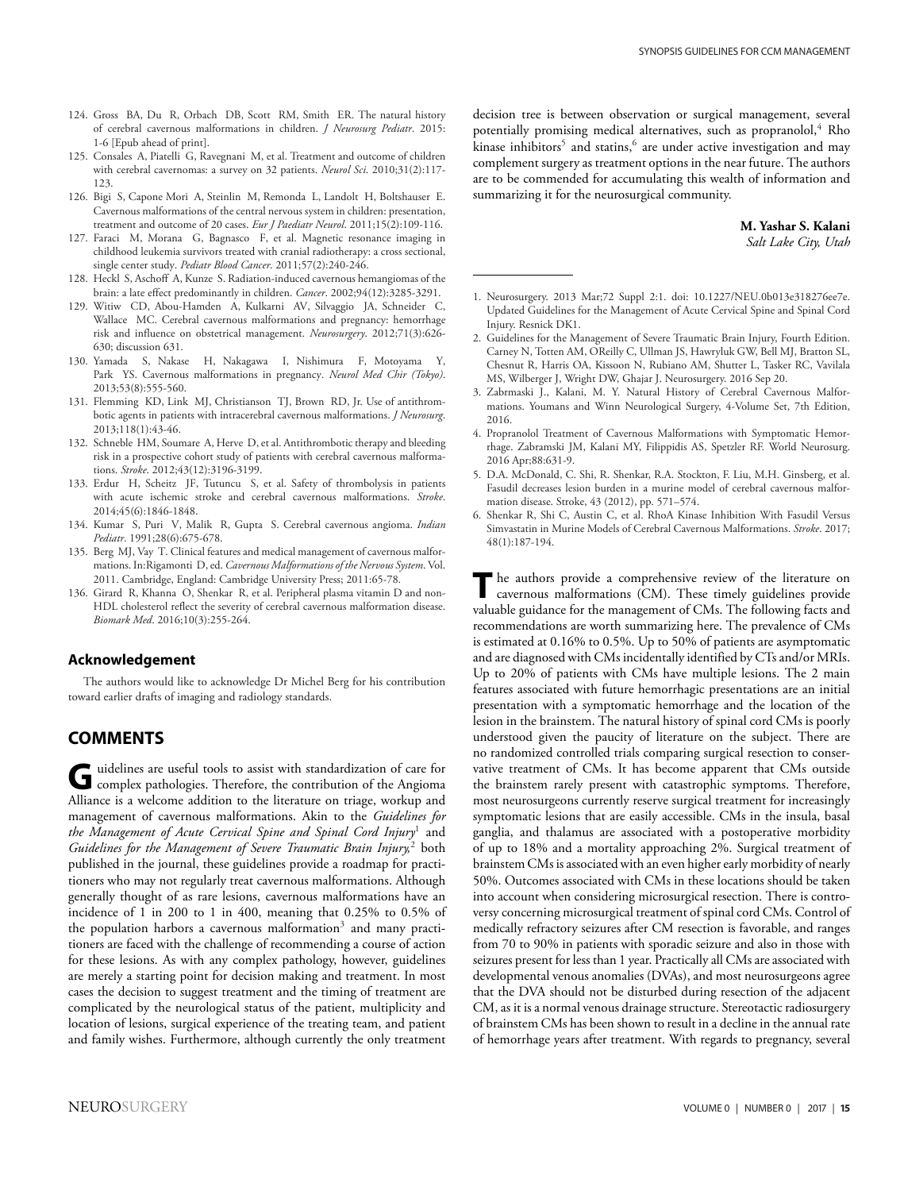- <span id="page-14-0"></span>124. Gross BA, Du R, Orbach DB, Scott RM, Smith ER. The natural history of cerebral cavernous malformations in children. *J Neurosurg Pediatr*. 2015: 1-6 [Epub ahead of print].
- <span id="page-14-1"></span>125. Consales A, Piatelli G, Ravegnani M, et al. Treatment and outcome of children with cerebral cavernomas: a survey on 32 patients. *Neurol Sci*. 2010;31(2):117- 123.
- <span id="page-14-2"></span>126. Bigi S, Capone Mori A, Steinlin M, Remonda L, Landolt H, Boltshauser E. Cavernous malformations of the central nervous system in children: presentation, treatment and outcome of 20 cases. *Eur J Paediatr Neurol*. 2011;15(2):109-116.
- <span id="page-14-4"></span>127. Faraci M, Morana G, Bagnasco F, et al. Magnetic resonance imaging in childhood leukemia survivors treated with cranial radiotherapy: a cross sectional, single center study. *Pediatr Blood Cancer*. 2011;57(2):240-246.
- <span id="page-14-5"></span>128. Heckl S, Aschoff A, Kunze S. Radiation-induced cavernous hemangiomas of the brain: a late effect predominantly in children. *Cancer*. 2002;94(12):3285-3291.
- <span id="page-14-6"></span>129. Witiw CD, Abou-Hamden A, Kulkarni AV, Silvaggio JA, Schneider C, Wallace MC. Cerebral cavernous malformations and pregnancy: hemorrhage risk and influence on obstetrical management. *Neurosurgery*. 2012;71(3):626- 630; discussion 631.
- <span id="page-14-7"></span>130. Yamada S, Nakase H, Nakagawa I, Nishimura F, Motoyama Y, Park YS. Cavernous malformations in pregnancy. *Neurol Med Chir (Tokyo)*. 2013;53(8):555-560.
- <span id="page-14-8"></span>131. Flemming KD, Link MJ, Christianson TJ, Brown RD, Jr. Use of antithrombotic agents in patients with intracerebral cavernous malformations. *J Neurosurg*. 2013;118(1):43-46.
- <span id="page-14-9"></span>132. Schneble HM, Soumare A, Herve D, et al. Antithrombotic therapy and bleeding risk in a prospective cohort study of patients with cerebral cavernous malformations. *Stroke*. 2012;43(12):3196-3199.
- <span id="page-14-10"></span>133. Erdur H, Scheitz JF, Tutuncu S, et al. Safety of thrombolysis in patients with acute ischemic stroke and cerebral cavernous malformations. *Stroke*. 2014;45(6):1846-1848.
- <span id="page-14-11"></span>134. Kumar S, Puri V, Malik R, Gupta S. Cerebral cavernous angioma. *Indian Pediatr*. 1991;28(6):675-678.
- <span id="page-14-3"></span>135. Berg MJ, Vay T. Clinical features and medical management of cavernous malformations. In:Rigamonti D, ed. *Cavernous Malformations of the Nervous System*. Vol. 2011. Cambridge, England: Cambridge University Press; 2011:65-78.
- <span id="page-14-12"></span>136. Girard R, Khanna O, Shenkar R, et al. Peripheral plasma vitamin D and non-HDL cholesterol reflect the severity of cerebral cavernous malformation disease. *Biomark Med*. 2016;10(3):255-264.

#### **Acknowledgement**

The authors would like to acknowledge Dr Michel Berg for his contribution toward earlier drafts of imaging and radiology standards.

# **COMMENTS**

G uidelines are useful tools to assist with standardization of care for complex pathologies. Therefore, the contribution of the Angioma Alliance is a welcome addition to the literature on triage, workup and management of cavernous malformations. Akin to the *Guidelines for* the Management of Acute Cervical Spine and Spinal Cord Injury<sup>1</sup> and *Guidelines for the Management of Severe Traumatic Brain Injury,*<sup>2</sup> both published in the journal, these guidelines provide a roadmap for practitioners who may not regularly treat cavernous malformations. Although generally thought of as rare lesions, cavernous malformations have an incidence of 1 in 200 to 1 in 400, meaning that 0.25% to 0.5% of the population harbors a cavernous malformation<sup>3</sup> and many practitioners are faced with the challenge of recommending a course of action for these lesions. As with any complex pathology, however, guidelines are merely a starting point for decision making and treatment. In most cases the decision to suggest treatment and the timing of treatment are complicated by the neurological status of the patient, multiplicity and location of lesions, surgical experience of the treating team, and patient and family wishes. Furthermore, although currently the only treatment

decision tree is between observation or surgical management, several potentially promising medical alternatives, such as propranolol, $4$  Rho kinase inhibitors<sup>5</sup> and statins,<sup>6</sup> are under active investigation and may complement surgery as treatment options in the near future. The authors are to be commended for accumulating this wealth of information and summarizing it for the neurosurgical community.

#### **M. Yashar S. Kalani** *Salt Lake City, Utah*

- 1. Neurosurgery. 2013 Mar;72 Suppl 2:1. doi: 10.1227/NEU.0b013e318276ee7e. Updated Guidelines for the Management of Acute Cervical Spine and Spinal Cord Injury. Resnick DK1.
- 2. Guidelines for the Management of Severe Traumatic Brain Injury, Fourth Edition. Carney N, Totten AM, OReilly C, Ullman JS, Hawryluk GW, Bell MJ, Bratton SL, Chesnut R, Harris OA, Kissoon N, Rubiano AM, Shutter L, Tasker RC, Vavilala MS, Wilberger J, Wright DW, Ghajar J. Neurosurgery. 2016 Sep 20.
- 3. Zabrmaski J., Kalani, M. Y. Natural History of Cerebral Cavernous Malformations. Youmans and Winn Neurological Surgery, 4-Volume Set, 7th Edition, 2016.
- 4. Propranolol Treatment of Cavernous Malformations with Symptomatic Hemorrhage. Zabramski JM, Kalani MY, Filippidis AS, Spetzler RF. World Neurosurg. 2016 Apr;88:631-9.
- 5. D.A. McDonald, C. Shi, R. Shenkar, R.A. Stockton, F. Liu, M.H. Ginsberg, et al. Fasudil decreases lesion burden in a murine model of cerebral cavernous malformation disease. Stroke, 43 (2012), pp. 571–574.
- 6. Shenkar R, Shi C, Austin C, et al. RhoA Kinase Inhibition With Fasudil Versus Simvastatin in Murine Models of Cerebral Cavernous Malformations. *Stroke*. 2017; 48(1):187-194.

**T** he authors provide a comprehensive review of the literature on cavernous malformations (CM). These timely guidelines provide valuable guidance for the management of CMs. The following facts and recommendations are worth summarizing here. The prevalence of CMs is estimated at 0.16% to 0.5%. Up to 50% of patients are asymptomatic and are diagnosed with CMs incidentally identified by CTs and/or MRIs. Up to 20% of patients with CMs have multiple lesions. The 2 main features associated with future hemorrhagic presentations are an initial presentation with a symptomatic hemorrhage and the location of the lesion in the brainstem. The natural history of spinal cord CMs is poorly understood given the paucity of literature on the subject. There are no randomized controlled trials comparing surgical resection to conservative treatment of CMs. It has become apparent that CMs outside the brainstem rarely present with catastrophic symptoms. Therefore, most neurosurgeons currently reserve surgical treatment for increasingly symptomatic lesions that are easily accessible. CMs in the insula, basal ganglia, and thalamus are associated with a postoperative morbidity of up to 18% and a mortality approaching 2%. Surgical treatment of brainstem CMs is associated with an even higher early morbidity of nearly 50%. Outcomes associated with CMs in these locations should be taken into account when considering microsurgical resection. There is controversy concerning microsurgical treatment of spinal cord CMs. Control of medically refractory seizures after CM resection is favorable, and ranges from 70 to 90% in patients with sporadic seizure and also in those with seizures present for less than 1 year. Practically all CMs are associated with developmental venous anomalies (DVAs), and most neurosurgeons agree that the DVA should not be disturbed during resection of the adjacent CM, as it is a normal venous drainage structure. Stereotactic radiosurgery of brainstem CMs has been shown to result in a decline in the annual rate of hemorrhage years after treatment. With regards to pregnancy, several